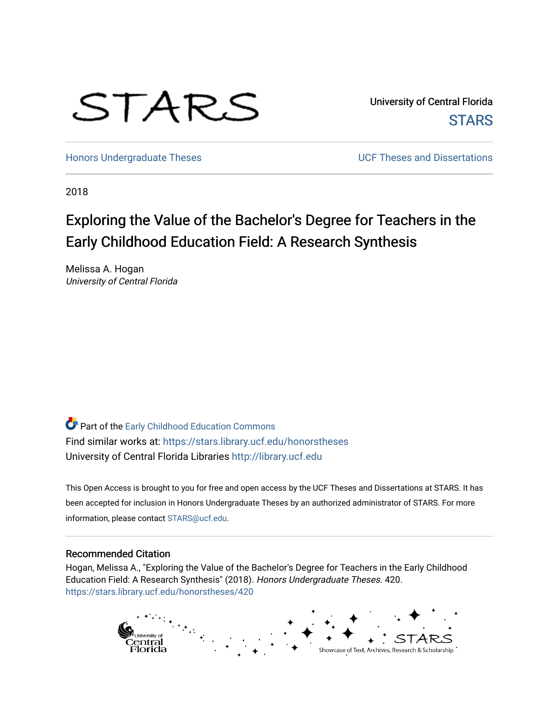

University of Central Florida **STARS** 

[Honors Undergraduate Theses](https://stars.library.ucf.edu/honorstheses) **No. 2018** UCF Theses and Dissertations

2018

# Exploring the Value of the Bachelor's Degree for Teachers in the Early Childhood Education Field: A Research Synthesis

Melissa A. Hogan University of Central Florida

Part of the [Early Childhood Education Commons](http://network.bepress.com/hgg/discipline/1377?utm_source=stars.library.ucf.edu%2Fhonorstheses%2F420&utm_medium=PDF&utm_campaign=PDFCoverPages)  Find similar works at: <https://stars.library.ucf.edu/honorstheses> University of Central Florida Libraries [http://library.ucf.edu](http://library.ucf.edu/) 

This Open Access is brought to you for free and open access by the UCF Theses and Dissertations at STARS. It has been accepted for inclusion in Honors Undergraduate Theses by an authorized administrator of STARS. For more information, please contact [STARS@ucf.edu.](mailto:STARS@ucf.edu)

### Recommended Citation

Hogan, Melissa A., "Exploring the Value of the Bachelor's Degree for Teachers in the Early Childhood Education Field: A Research Synthesis" (2018). Honors Undergraduate Theses. 420. [https://stars.library.ucf.edu/honorstheses/420](https://stars.library.ucf.edu/honorstheses/420?utm_source=stars.library.ucf.edu%2Fhonorstheses%2F420&utm_medium=PDF&utm_campaign=PDFCoverPages) 

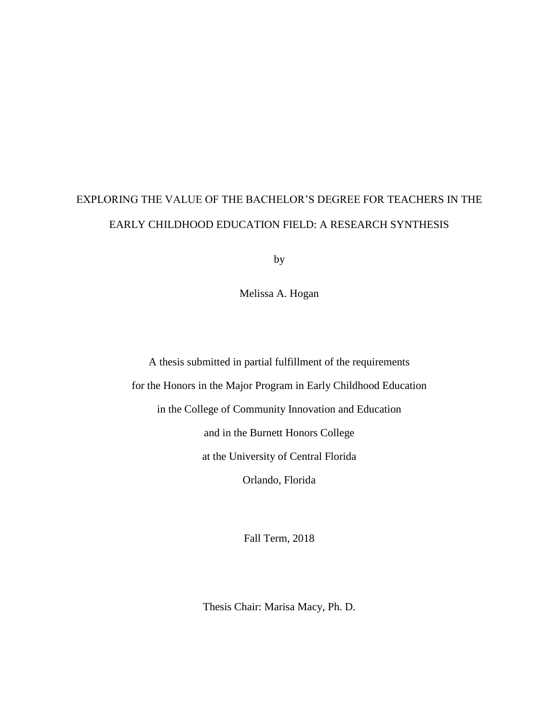# EXPLORING THE VALUE OF THE BACHELOR'S DEGREE FOR TEACHERS IN THE EARLY CHILDHOOD EDUCATION FIELD: A RESEARCH SYNTHESIS

by

Melissa A. Hogan

A thesis submitted in partial fulfillment of the requirements for the Honors in the Major Program in Early Childhood Education in the College of Community Innovation and Education and in the Burnett Honors College at the University of Central Florida Orlando, Florida

Fall Term, 2018

Thesis Chair: Marisa Macy, Ph. D.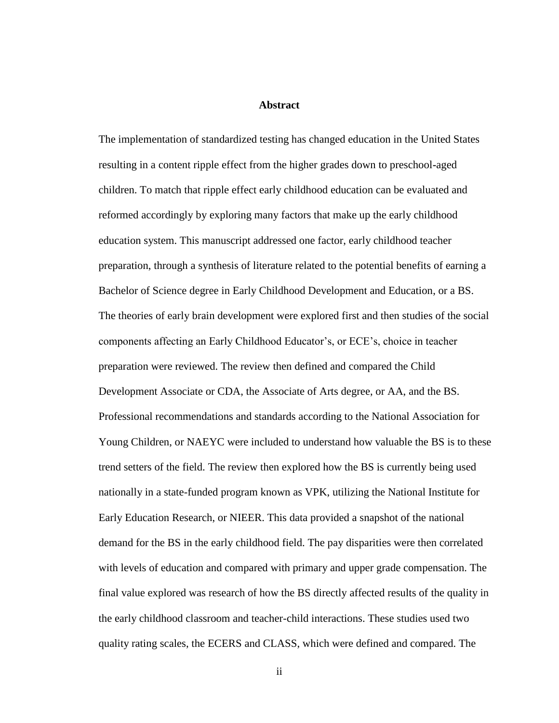### **Abstract**

The implementation of standardized testing has changed education in the United States resulting in a content ripple effect from the higher grades down to preschool**-**aged children. To match that ripple effect early childhood education can be evaluated and reformed accordingly by exploring many factors that make up the early childhood education system. This manuscript addressed one factor, early childhood teacher preparation, through a synthesis of literature related to the potential benefits of earning a Bachelor of Science degree in Early Childhood Development and Education, or a BS. The theories of early brain development were explored first and then studies of the social components affecting an Early Childhood Educator's, or ECE's, choice in teacher preparation were reviewed. The review then defined and compared the Child Development Associate or CDA, the Associate of Arts degree, or AA, and the BS. Professional recommendations and standards according to the National Association for Young Children, or NAEYC were included to understand how valuable the BS is to these trend setters of the field. The review then explored how the BS is currently being used nationally in a state-funded program known as VPK, utilizing the National Institute for Early Education Research, or NIEER. This data provided a snapshot of the national demand for the BS in the early childhood field. The pay disparities were then correlated with levels of education and compared with primary and upper grade compensation. The final value explored was research of how the BS directly affected results of the quality in the early childhood classroom and teacher-child interactions. These studies used two quality rating scales, the ECERS and CLASS, which were defined and compared. The

ii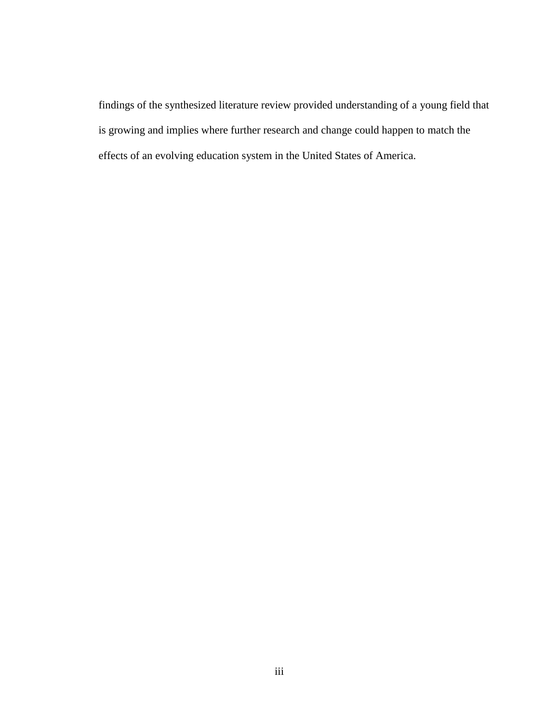findings of the synthesized literature review provided understanding of a young field that is growing and implies where further research and change could happen to match the effects of an evolving education system in the United States of America.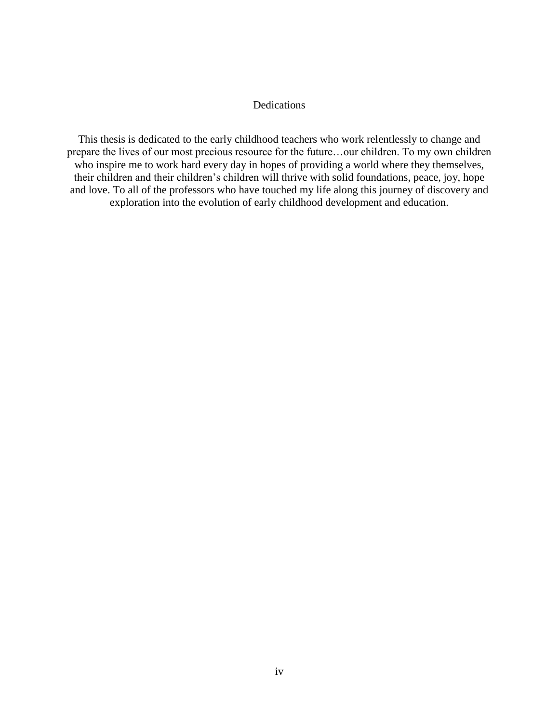### Dedications

This thesis is dedicated to the early childhood teachers who work relentlessly to change and prepare the lives of our most precious resource for the future…our children. To my own children who inspire me to work hard every day in hopes of providing a world where they themselves, their children and their children's children will thrive with solid foundations, peace, joy, hope and love. To all of the professors who have touched my life along this journey of discovery and exploration into the evolution of early childhood development and education.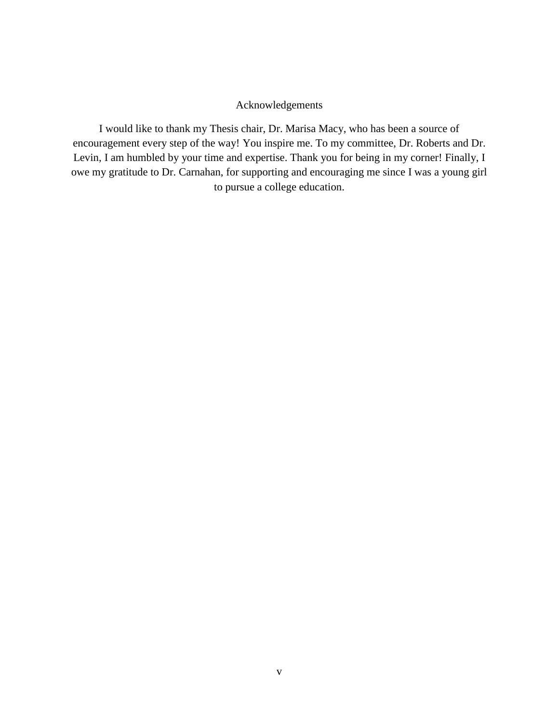### Acknowledgements

I would like to thank my Thesis chair, Dr. Marisa Macy, who has been a source of encouragement every step of the way! You inspire me. To my committee, Dr. Roberts and Dr. Levin, I am humbled by your time and expertise. Thank you for being in my corner! Finally, I owe my gratitude to Dr. Carnahan, for supporting and encouraging me since I was a young girl to pursue a college education.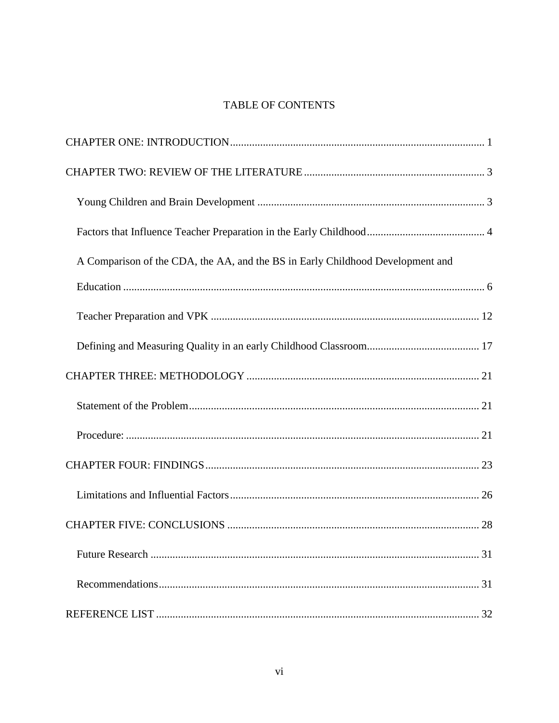### TABLE OF CONTENTS

| A Comparison of the CDA, the AA, and the BS in Early Childhood Development and |
|--------------------------------------------------------------------------------|
|                                                                                |
|                                                                                |
|                                                                                |
|                                                                                |
|                                                                                |
|                                                                                |
|                                                                                |
|                                                                                |
|                                                                                |
|                                                                                |
|                                                                                |
|                                                                                |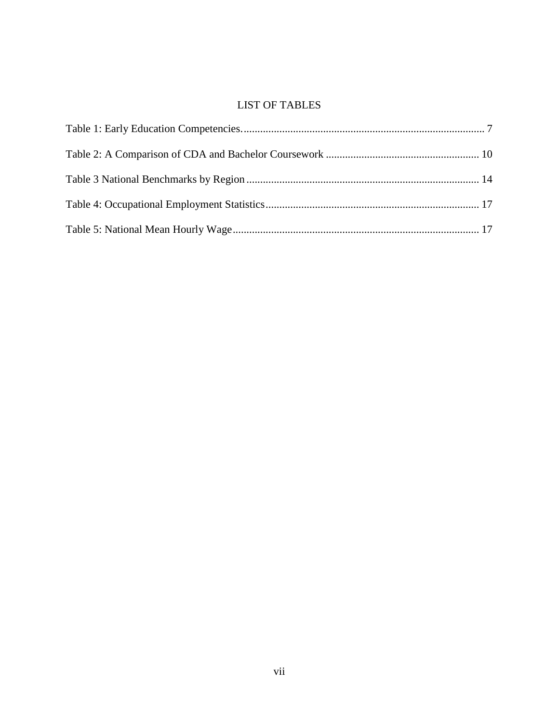### LIST OF TABLES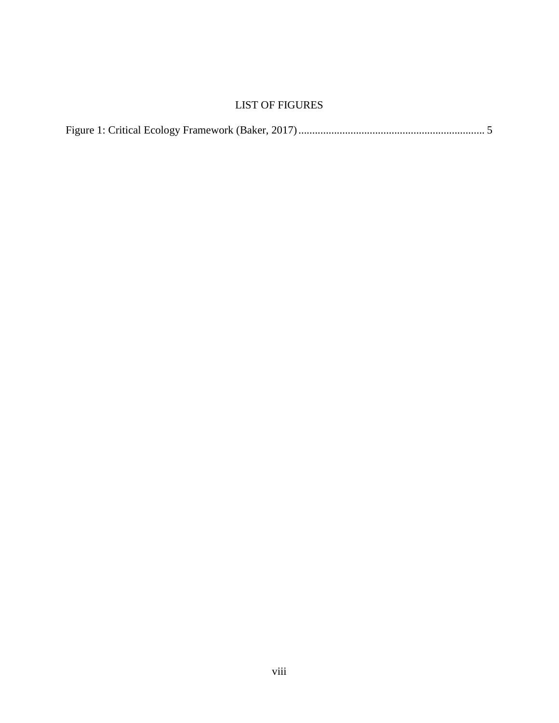### LIST OF FIGURES

|--|--|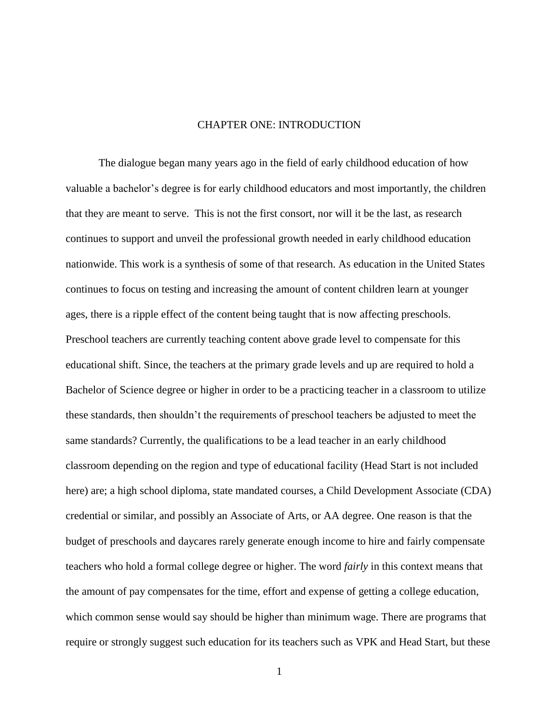### CHAPTER ONE: INTRODUCTION

<span id="page-9-0"></span>The dialogue began many years ago in the field of early childhood education of how valuable a bachelor's degree is for early childhood educators and most importantly, the children that they are meant to serve. This is not the first consort, nor will it be the last, as research continues to support and unveil the professional growth needed in early childhood education nationwide. This work is a synthesis of some of that research. As education in the United States continues to focus on testing and increasing the amount of content children learn at younger ages, there is a ripple effect of the content being taught that is now affecting preschools. Preschool teachers are currently teaching content above grade level to compensate for this educational shift. Since, the teachers at the primary grade levels and up are required to hold a Bachelor of Science degree or higher in order to be a practicing teacher in a classroom to utilize these standards, then shouldn't the requirements of preschool teachers be adjusted to meet the same standards? Currently, the qualifications to be a lead teacher in an early childhood classroom depending on the region and type of educational facility (Head Start is not included here) are; a high school diploma, state mandated courses, a Child Development Associate (CDA) credential or similar, and possibly an Associate of Arts, or AA degree. One reason is that the budget of preschools and daycares rarely generate enough income to hire and fairly compensate teachers who hold a formal college degree or higher. The word *fairly* in this context means that the amount of pay compensates for the time, effort and expense of getting a college education, which common sense would say should be higher than minimum wage. There are programs that require or strongly suggest such education for its teachers such as VPK and Head Start, but these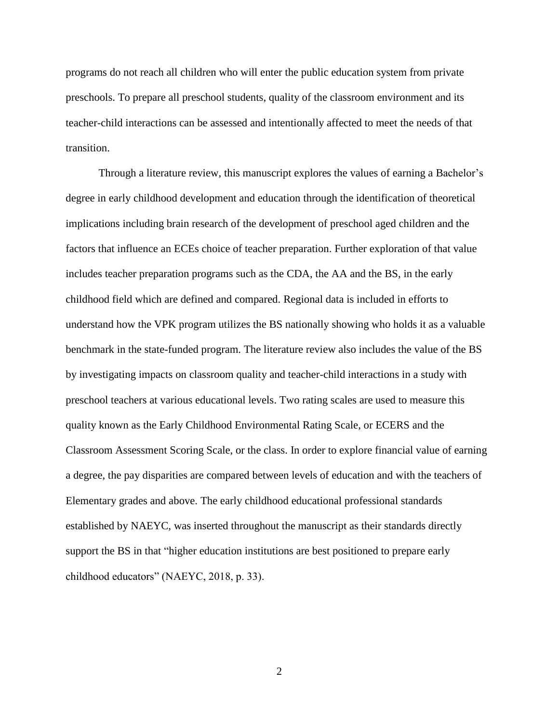programs do not reach all children who will enter the public education system from private preschools. To prepare all preschool students, quality of the classroom environment and its teacher-child interactions can be assessed and intentionally affected to meet the needs of that transition.

Through a literature review, this manuscript explores the values of earning a Bachelor's degree in early childhood development and education through the identification of theoretical implications including brain research of the development of preschool aged children and the factors that influence an ECEs choice of teacher preparation. Further exploration of that value includes teacher preparation programs such as the CDA, the AA and the BS, in the early childhood field which are defined and compared. Regional data is included in efforts to understand how the VPK program utilizes the BS nationally showing who holds it as a valuable benchmark in the state-funded program. The literature review also includes the value of the BS by investigating impacts on classroom quality and teacher-child interactions in a study with preschool teachers at various educational levels. Two rating scales are used to measure this quality known as the Early Childhood Environmental Rating Scale, or ECERS and the Classroom Assessment Scoring Scale, or the class. In order to explore financial value of earning a degree, the pay disparities are compared between levels of education and with the teachers of Elementary grades and above. The early childhood educational professional standards established by NAEYC, was inserted throughout the manuscript as their standards directly support the BS in that "higher education institutions are best positioned to prepare early childhood educators" (NAEYC, 2018, p. 33).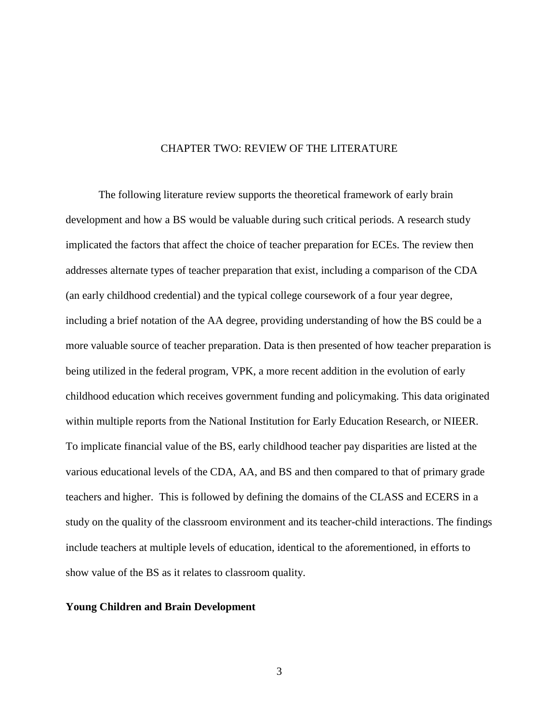### CHAPTER TWO: REVIEW OF THE LITERATURE

<span id="page-11-0"></span>The following literature review supports the theoretical framework of early brain development and how a BS would be valuable during such critical periods. A research study implicated the factors that affect the choice of teacher preparation for ECEs. The review then addresses alternate types of teacher preparation that exist, including a comparison of the CDA (an early childhood credential) and the typical college coursework of a four year degree, including a brief notation of the AA degree, providing understanding of how the BS could be a more valuable source of teacher preparation. Data is then presented of how teacher preparation is being utilized in the federal program, VPK, a more recent addition in the evolution of early childhood education which receives government funding and policymaking. This data originated within multiple reports from the National Institution for Early Education Research, or NIEER. To implicate financial value of the BS, early childhood teacher pay disparities are listed at the various educational levels of the CDA, AA, and BS and then compared to that of primary grade teachers and higher. This is followed by defining the domains of the CLASS and ECERS in a study on the quality of the classroom environment and its teacher-child interactions. The findings include teachers at multiple levels of education, identical to the aforementioned, in efforts to show value of the BS as it relates to classroom quality.

### <span id="page-11-1"></span>**Young Children and Brain Development**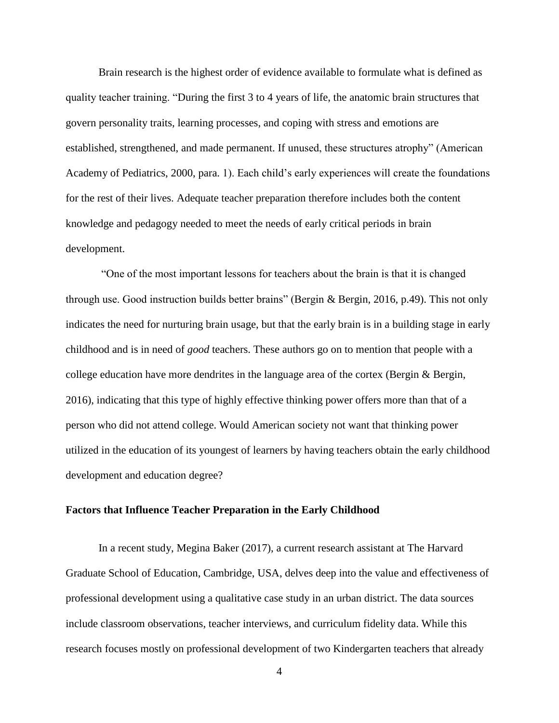Brain research is the highest order of evidence available to formulate what is defined as quality teacher training. "During the first 3 to 4 years of life, the anatomic brain structures that govern personality traits, learning processes, and coping with stress and emotions are established, strengthened, and made permanent. If unused, these structures atrophy" (American Academy of Pediatrics, 2000, para. 1). Each child's early experiences will create the foundations for the rest of their lives. Adequate teacher preparation therefore includes both the content knowledge and pedagogy needed to meet the needs of early critical periods in brain development.

"One of the most important lessons for teachers about the brain is that it is changed through use. Good instruction builds better brains" (Bergin & Bergin, 2016, p.49). This not only indicates the need for nurturing brain usage, but that the early brain is in a building stage in early childhood and is in need of *good* teachers. These authors go on to mention that people with a college education have more dendrites in the language area of the cortex (Bergin & Bergin, 2016), indicating that this type of highly effective thinking power offers more than that of a person who did not attend college. Would American society not want that thinking power utilized in the education of its youngest of learners by having teachers obtain the early childhood development and education degree?

### <span id="page-12-0"></span>**Factors that Influence Teacher Preparation in the Early Childhood**

In a recent study, Megina Baker (2017), a current research assistant at The Harvard Graduate School of Education, Cambridge, USA, delves deep into the value and effectiveness of professional development using a qualitative case study in an urban district. The data sources include classroom observations, teacher interviews, and curriculum fidelity data. While this research focuses mostly on professional development of two Kindergarten teachers that already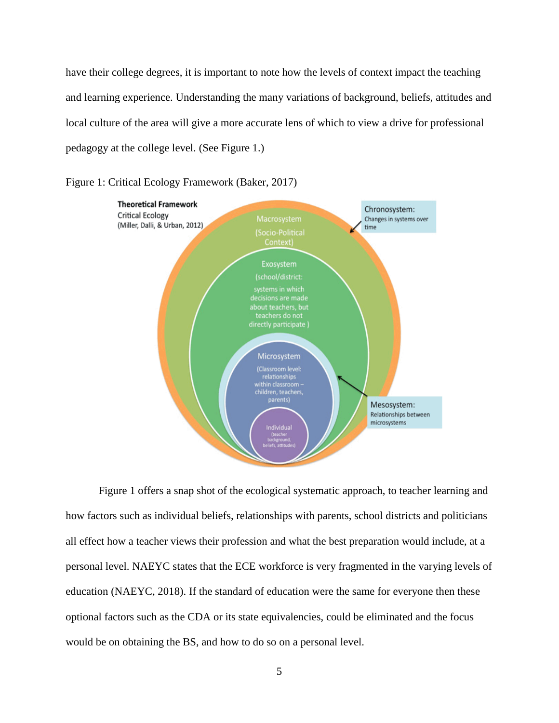have their college degrees, it is important to note how the levels of context impact the teaching and learning experience. Understanding the many variations of background, beliefs, attitudes and local culture of the area will give a more accurate lens of which to view a drive for professional pedagogy at the college level. (See Figure 1.)



<span id="page-13-0"></span>Figure 1: Critical Ecology Framework (Baker, 2017)

Figure 1 offers a snap shot of the ecological systematic approach, to teacher learning and how factors such as individual beliefs, relationships with parents, school districts and politicians all effect how a teacher views their profession and what the best preparation would include, at a personal level. NAEYC states that the ECE workforce is very fragmented in the varying levels of education (NAEYC, 2018). If the standard of education were the same for everyone then these optional factors such as the CDA or its state equivalencies, could be eliminated and the focus would be on obtaining the BS, and how to do so on a personal level.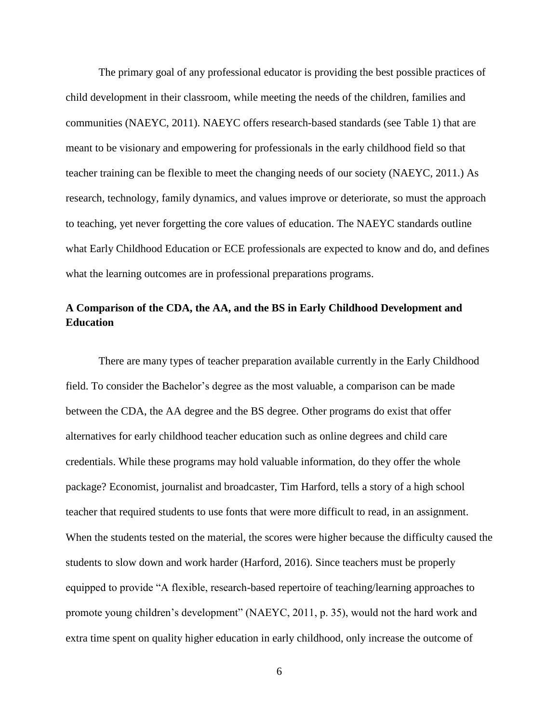The primary goal of any professional educator is providing the best possible practices of child development in their classroom, while meeting the needs of the children, families and communities (NAEYC, 2011). NAEYC offers research-based standards (see Table 1) that are meant to be visionary and empowering for professionals in the early childhood field so that teacher training can be flexible to meet the changing needs of our society (NAEYC, 2011.) As research, technology, family dynamics, and values improve or deteriorate, so must the approach to teaching, yet never forgetting the core values of education. The NAEYC standards outline what Early Childhood Education or ECE professionals are expected to know and do, and defines what the learning outcomes are in professional preparations programs.

## <span id="page-14-0"></span>**A Comparison of the CDA, the AA, and the BS in Early Childhood Development and Education**

There are many types of teacher preparation available currently in the Early Childhood field. To consider the Bachelor's degree as the most valuable, a comparison can be made between the CDA, the AA degree and the BS degree. Other programs do exist that offer alternatives for early childhood teacher education such as online degrees and child care credentials. While these programs may hold valuable information, do they offer the whole package? Economist, journalist and broadcaster, Tim Harford, tells a story of a high school teacher that required students to use fonts that were more difficult to read, in an assignment. When the students tested on the material, the scores were higher because the difficulty caused the students to slow down and work harder (Harford, 2016). Since teachers must be properly equipped to provide "A flexible, research-based repertoire of teaching/learning approaches to promote young children's development" (NAEYC, 2011, p. 35), would not the hard work and extra time spent on quality higher education in early childhood, only increase the outcome of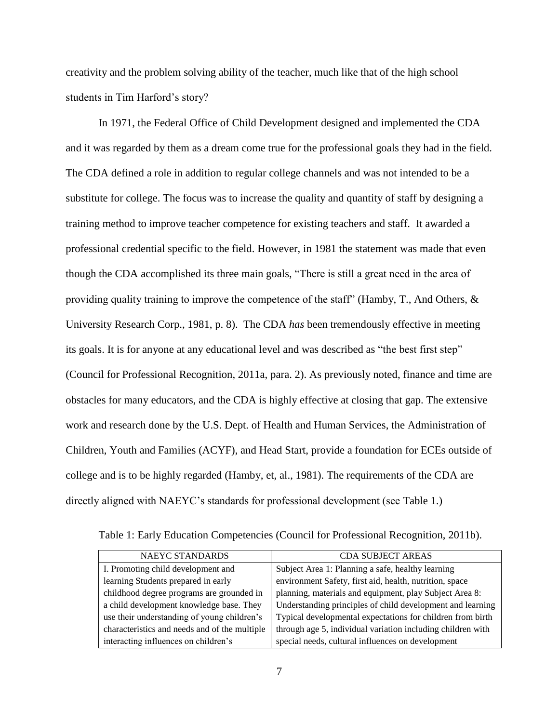creativity and the problem solving ability of the teacher, much like that of the high school students in Tim Harford's story?

In 1971, the Federal Office of Child Development designed and implemented the CDA and it was regarded by them as a dream come true for the professional goals they had in the field. The CDA defined a role in addition to regular college channels and was not intended to be a substitute for college. The focus was to increase the quality and quantity of staff by designing a training method to improve teacher competence for existing teachers and staff. It awarded a professional credential specific to the field. However, in 1981 the statement was made that even though the CDA accomplished its three main goals, "There is still a great need in the area of providing quality training to improve the competence of the staff" (Hamby, T., And Others,  $\&$ University Research Corp., 1981, p. 8). The CDA *has* been tremendously effective in meeting its goals. It is for anyone at any educational level and was described as "the best first step" (Council for Professional Recognition, 2011a, para. 2). As previously noted, finance and time are obstacles for many educators, and the CDA is highly effective at closing that gap. The extensive work and research done by the U.S. Dept. of Health and Human Services, the Administration of Children, Youth and Families (ACYF), and Head Start, provide a foundation for ECEs outside of college and is to be highly regarded (Hamby, et, al., 1981). The requirements of the CDA are directly aligned with NAEYC's standards for professional development (see Table 1.)

| NAEYC STANDARDS                               | <b>CDA SUBJECT AREAS</b>                                    |
|-----------------------------------------------|-------------------------------------------------------------|
| I. Promoting child development and            | Subject Area 1: Planning a safe, healthy learning           |
| learning Students prepared in early           | environment Safety, first aid, health, nutrition, space     |
| childhood degree programs are grounded in     | planning, materials and equipment, play Subject Area 8:     |
| a child development knowledge base. They      | Understanding principles of child development and learning  |
| use their understanding of young children's   | Typical developmental expectations for children from birth  |
| characteristics and needs and of the multiple | through age 5, individual variation including children with |
| interacting influences on children's          | special needs, cultural influences on development           |

<span id="page-15-0"></span>Table 1: Early Education Competencies (Council for Professional Recognition, 2011b).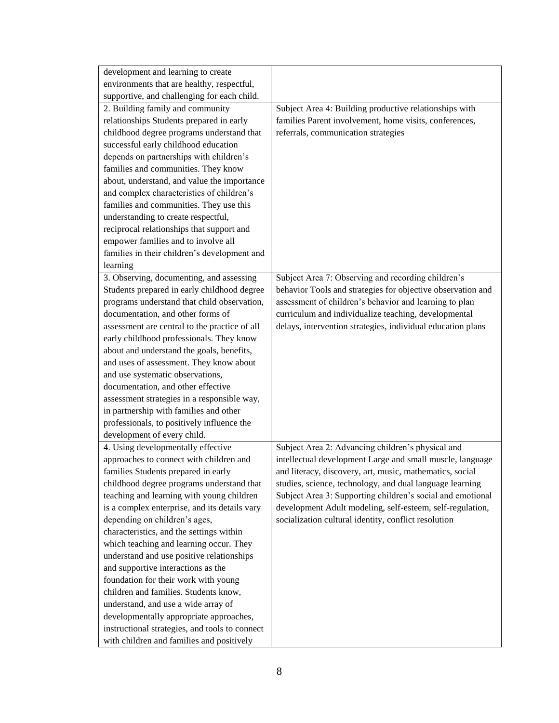| development and learning to create             |                                                             |
|------------------------------------------------|-------------------------------------------------------------|
| environments that are healthy, respectful,     |                                                             |
| supportive, and challenging for each child.    |                                                             |
| 2. Building family and community               | Subject Area 4: Building productive relationships with      |
| relationships Students prepared in early       | families Parent involvement, home visits, conferences,      |
| childhood degree programs understand that      | referrals, communication strategies                         |
| successful early childhood education           |                                                             |
| depends on partnerships with children's        |                                                             |
| families and communities. They know            |                                                             |
| about, understand, and value the importance    |                                                             |
| and complex characteristics of children's      |                                                             |
| families and communities. They use this        |                                                             |
| understanding to create respectful,            |                                                             |
| reciprocal relationships that support and      |                                                             |
| empower families and to involve all            |                                                             |
| families in their children's development and   |                                                             |
| learning                                       |                                                             |
| 3. Observing, documenting, and assessing       | Subject Area 7: Observing and recording children's          |
| Students prepared in early childhood degree    | behavior Tools and strategies for objective observation and |
| programs understand that child observation,    | assessment of children's behavior and learning to plan      |
| documentation, and other forms of              | curriculum and individualize teaching, developmental        |
| assessment are central to the practice of all  | delays, intervention strategies, individual education plans |
| early childhood professionals. They know       |                                                             |
| about and understand the goals, benefits,      |                                                             |
| and uses of assessment. They know about        |                                                             |
| and use systematic observations,               |                                                             |
| documentation, and other effective             |                                                             |
| assessment strategies in a responsible way,    |                                                             |
| in partnership with families and other         |                                                             |
| professionals, to positively influence the     |                                                             |
| development of every child.                    |                                                             |
| 4. Using developmentally effective             | Subject Area 2: Advancing children's physical and           |
| approaches to connect with children and        | intellectual development Large and small muscle, language   |
| families Students prepared in early            | and literacy, discovery, art, music, mathematics, social    |
| childhood degree programs understand that      | studies, science, technology, and dual language learning    |
| teaching and learning with young children      | Subject Area 3: Supporting children's social and emotional  |
| is a complex enterprise, and its details vary  | development Adult modeling, self-esteem, self-regulation,   |
| depending on children's ages,                  | socialization cultural identity, conflict resolution        |
| characteristics, and the settings within       |                                                             |
| which teaching and learning occur. They        |                                                             |
| understand and use positive relationships      |                                                             |
| and supportive interactions as the             |                                                             |
| foundation for their work with young           |                                                             |
| children and families. Students know,          |                                                             |
| understand, and use a wide array of            |                                                             |
| developmentally appropriate approaches,        |                                                             |
| instructional strategies, and tools to connect |                                                             |
| with children and families and positively      |                                                             |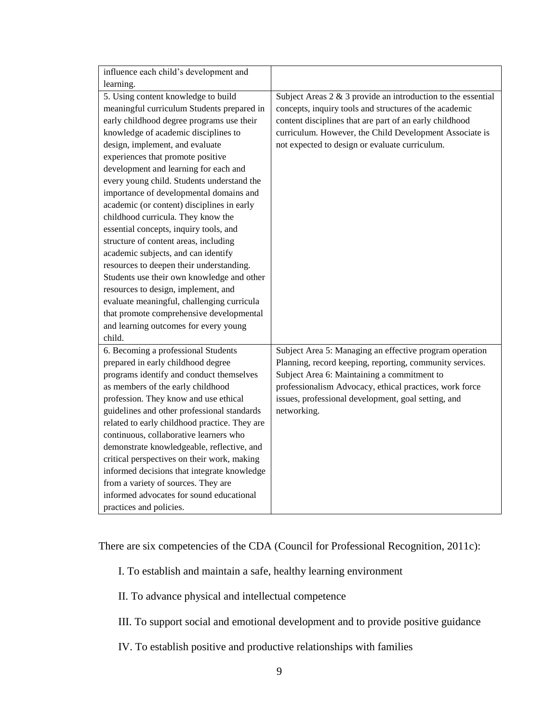| influence each child's development and        |                                                                 |
|-----------------------------------------------|-----------------------------------------------------------------|
| learning.                                     |                                                                 |
| 5. Using content knowledge to build           | Subject Areas $2 \& 3$ provide an introduction to the essential |
| meaningful curriculum Students prepared in    | concepts, inquiry tools and structures of the academic          |
| early childhood degree programs use their     | content disciplines that are part of an early childhood         |
| knowledge of academic disciplines to          | curriculum. However, the Child Development Associate is         |
| design, implement, and evaluate               | not expected to design or evaluate curriculum.                  |
| experiences that promote positive             |                                                                 |
| development and learning for each and         |                                                                 |
| every young child. Students understand the    |                                                                 |
| importance of developmental domains and       |                                                                 |
| academic (or content) disciplines in early    |                                                                 |
| childhood curricula. They know the            |                                                                 |
| essential concepts, inquiry tools, and        |                                                                 |
| structure of content areas, including         |                                                                 |
| academic subjects, and can identify           |                                                                 |
| resources to deepen their understanding.      |                                                                 |
| Students use their own knowledge and other    |                                                                 |
| resources to design, implement, and           |                                                                 |
| evaluate meaningful, challenging curricula    |                                                                 |
| that promote comprehensive developmental      |                                                                 |
| and learning outcomes for every young         |                                                                 |
| child.                                        |                                                                 |
| 6. Becoming a professional Students           | Subject Area 5: Managing an effective program operation         |
| prepared in early childhood degree            | Planning, record keeping, reporting, community services.        |
| programs identify and conduct themselves      | Subject Area 6: Maintaining a commitment to                     |
| as members of the early childhood             | professionalism Advocacy, ethical practices, work force         |
| profession. They know and use ethical         | issues, professional development, goal setting, and             |
| guidelines and other professional standards   | networking.                                                     |
| related to early childhood practice. They are |                                                                 |
| continuous, collaborative learners who        |                                                                 |
| demonstrate knowledgeable, reflective, and    |                                                                 |
| critical perspectives on their work, making   |                                                                 |
| informed decisions that integrate knowledge   |                                                                 |
| from a variety of sources. They are           |                                                                 |
| informed advocates for sound educational      |                                                                 |
| practices and policies.                       |                                                                 |

There are six competencies of the CDA (Council for Professional Recognition, 2011c):

- I. To establish and maintain a safe, healthy learning environment
- II. To advance physical and intellectual competence
- III. To support social and emotional development and to provide positive guidance
- IV. To establish positive and productive relationships with families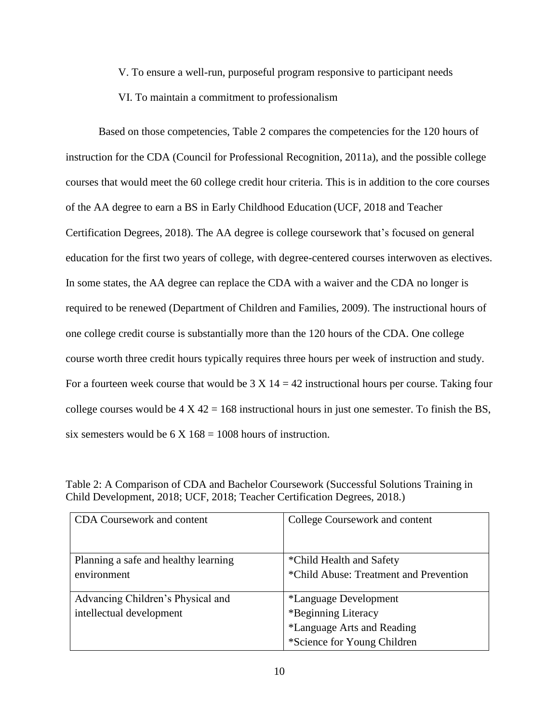V. To ensure a well-run, purposeful program responsive to participant needs

### VI. To maintain a commitment to professionalism

Based on those competencies, Table 2 compares the competencies for the 120 hours of instruction for the CDA (Council for Professional Recognition, 2011a), and the possible college courses that would meet the 60 college credit hour criteria. This is in addition to the core courses of the AA degree to earn a BS in Early Childhood Education (UCF, 2018 and Teacher Certification Degrees, 2018). The AA degree is college coursework that's focused on general education for the first two years of college, with degree-centered courses interwoven as electives. In some states, the AA degree can replace the CDA with a waiver and the CDA no longer is required to be renewed (Department of Children and Families, 2009). The instructional hours of one college credit course is substantially more than the 120 hours of the CDA. One college course worth three credit hours typically requires three hours per week of instruction and study. For a fourteen week course that would be  $3 \times 14 = 42$  instructional hours per course. Taking four college courses would be  $4 \times 42 = 168$  instructional hours in just one semester. To finish the BS, six semesters would be  $6 \times 168 = 1008$  hours of instruction.

| <b>CDA</b> Coursework and content    | College Coursework and content         |
|--------------------------------------|----------------------------------------|
| Planning a safe and healthy learning | *Child Health and Safety               |
| environment                          | *Child Abuse: Treatment and Prevention |
| Advancing Children's Physical and    | <i>*Language Development</i>           |
| intellectual development             | *Beginning Literacy                    |
|                                      | *Language Arts and Reading             |
|                                      | *Science for Young Children            |

<span id="page-18-0"></span>Table 2: A Comparison of CDA and Bachelor Coursework (Successful Solutions Training in Child Development, 2018; UCF, 2018; Teacher Certification Degrees, 2018.)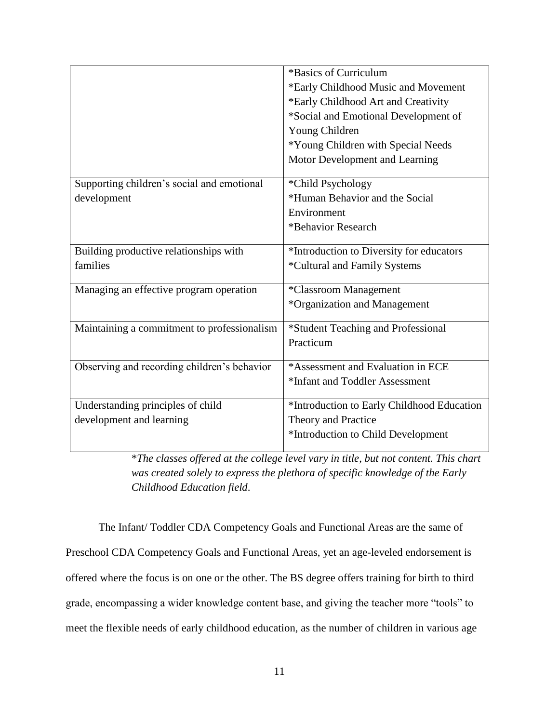|                                             | *Basics of Curriculum                      |
|---------------------------------------------|--------------------------------------------|
|                                             | *Early Childhood Music and Movement        |
|                                             | *Early Childhood Art and Creativity        |
|                                             | *Social and Emotional Development of       |
|                                             | Young Children                             |
|                                             | *Young Children with Special Needs         |
|                                             | Motor Development and Learning             |
| Supporting children's social and emotional  | *Child Psychology                          |
| development                                 | *Human Behavior and the Social             |
|                                             | Environment                                |
|                                             | *Behavior Research                         |
| Building productive relationships with      | *Introduction to Diversity for educators   |
| families                                    | *Cultural and Family Systems               |
|                                             |                                            |
| Managing an effective program operation     | *Classroom Management                      |
|                                             | *Organization and Management               |
| Maintaining a commitment to professionalism | *Student Teaching and Professional         |
|                                             | Practicum                                  |
|                                             |                                            |
| Observing and recording children's behavior | *Assessment and Evaluation in ECE          |
|                                             | *Infant and Toddler Assessment             |
| Understanding principles of child           | *Introduction to Early Childhood Education |
| development and learning                    | Theory and Practice                        |
|                                             | *Introduction to Child Development         |
|                                             |                                            |

\**The classes offered at the college level vary in title, but not content. This chart was created solely to express the plethora of specific knowledge of the Early Childhood Education field*.

The Infant/ Toddler CDA Competency Goals and Functional Areas are the same of Preschool CDA Competency Goals and Functional Areas, yet an age-leveled endorsement is offered where the focus is on one or the other. The BS degree offers training for birth to third grade, encompassing a wider knowledge content base, and giving the teacher more "tools" to meet the flexible needs of early childhood education, as the number of children in various age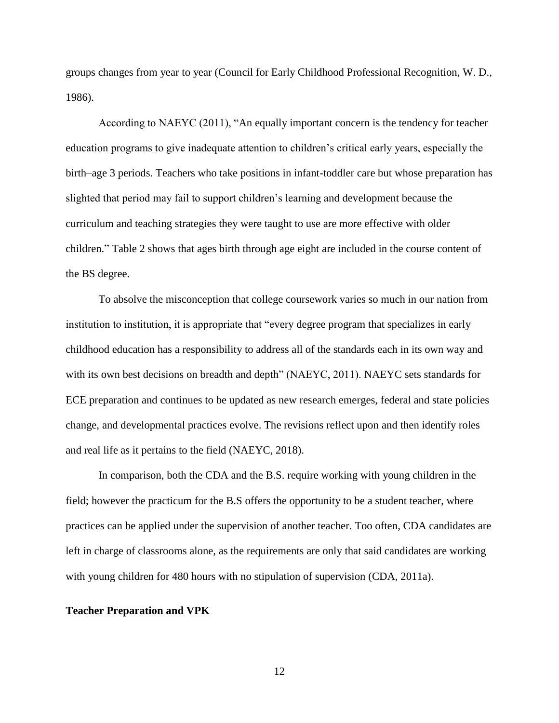groups changes from year to year (Council for Early Childhood Professional Recognition, W. D., 1986).

According to NAEYC (2011), "An equally important concern is the tendency for teacher education programs to give inadequate attention to children's critical early years, especially the birth–age 3 periods. Teachers who take positions in infant-toddler care but whose preparation has slighted that period may fail to support children's learning and development because the curriculum and teaching strategies they were taught to use are more effective with older children." Table 2 shows that ages birth through age eight are included in the course content of the BS degree.

To absolve the misconception that college coursework varies so much in our nation from institution to institution, it is appropriate that "every degree program that specializes in early childhood education has a responsibility to address all of the standards each in its own way and with its own best decisions on breadth and depth" (NAEYC, 2011). NAEYC sets standards for ECE preparation and continues to be updated as new research emerges, federal and state policies change, and developmental practices evolve. The revisions reflect upon and then identify roles and real life as it pertains to the field (NAEYC, 2018).

In comparison, both the CDA and the B.S. require working with young children in the field; however the practicum for the B.S offers the opportunity to be a student teacher, where practices can be applied under the supervision of another teacher. Too often, CDA candidates are left in charge of classrooms alone, as the requirements are only that said candidates are working with young children for 480 hours with no stipulation of supervision (CDA, 2011a).

#### <span id="page-20-0"></span>**Teacher Preparation and VPK**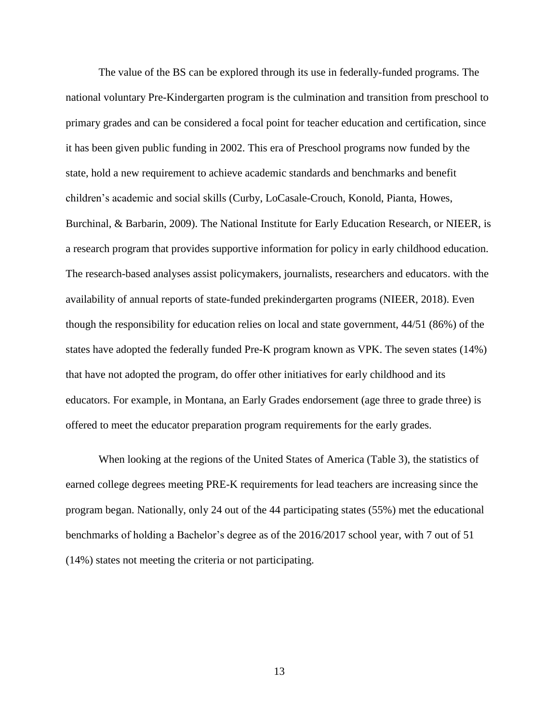The value of the BS can be explored through its use in federally-funded programs. The national voluntary Pre-Kindergarten program is the culmination and transition from preschool to primary grades and can be considered a focal point for teacher education and certification, since it has been given public funding in 2002. This era of Preschool programs now funded by the state, hold a new requirement to achieve academic standards and benchmarks and benefit children's academic and social skills (Curby, LoCasale-Crouch, Konold, Pianta, Howes, Burchinal, & Barbarin, 2009). The National Institute for Early Education Research, or NIEER, is a research program that provides supportive information for policy in early childhood education. The research-based analyses assist policymakers, journalists, researchers and educators. with the availability of annual reports of state-funded prekindergarten programs (NIEER, 2018). Even though the responsibility for education relies on local and state government, 44/51 (86%) of the states have adopted the federally funded Pre-K program known as VPK. The seven states (14%) that have not adopted the program, do offer other initiatives for early childhood and its educators. For example, in Montana, an Early Grades endorsement (age three to grade three) is offered to meet the educator preparation program requirements for the early grades.

When looking at the regions of the United States of America (Table 3), the statistics of earned college degrees meeting PRE-K requirements for lead teachers are increasing since the program began. Nationally, only 24 out of the 44 participating states (55%) met the educational benchmarks of holding a Bachelor's degree as of the 2016/2017 school year, with 7 out of 51 (14%) states not meeting the criteria or not participating.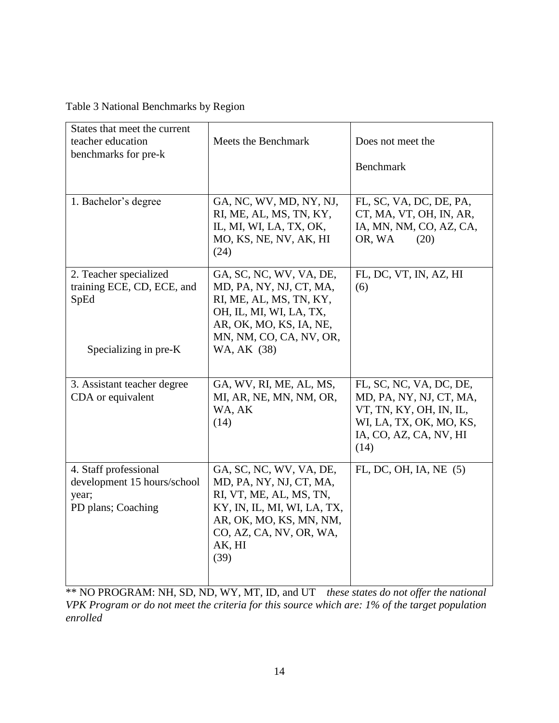<span id="page-22-0"></span>

| Table 3 National Benchmarks by Region |  |
|---------------------------------------|--|
|---------------------------------------|--|

| States that meet the current<br>teacher education<br>benchmarks for pre-k           | Meets the Benchmark                                                                                                                                                                  | Does not meet the<br>Benchmark                                                                                                             |
|-------------------------------------------------------------------------------------|--------------------------------------------------------------------------------------------------------------------------------------------------------------------------------------|--------------------------------------------------------------------------------------------------------------------------------------------|
| 1. Bachelor's degree                                                                | GA, NC, WV, MD, NY, NJ,<br>RI, ME, AL, MS, TN, KY,<br>IL, MI, WI, LA, TX, OK,<br>MO, KS, NE, NV, AK, HI<br>(24)                                                                      | FL, SC, VA, DC, DE, PA,<br>CT, MA, VT, OH, IN, AR,<br>IA, MN, NM, CO, AZ, CA,<br>OR, WA<br>(20)                                            |
| 2. Teacher specialized<br>training ECE, CD, ECE, and<br>SpEd                        | GA, SC, NC, WV, VA, DE,<br>MD, PA, NY, NJ, CT, MA,<br>RI, ME, AL, MS, TN, KY,<br>OH, IL, MI, WI, LA, TX,<br>AR, OK, MO, KS, IA, NE,<br>MN, NM, CO, CA, NV, OR,                       | FL, DC, VT, IN, AZ, HI<br>(6)                                                                                                              |
| Specializing in pre-K                                                               | WA, AK (38)                                                                                                                                                                          |                                                                                                                                            |
| 3. Assistant teacher degree<br>CDA or equivalent                                    | GA, WV, RI, ME, AL, MS,<br>MI, AR, NE, MN, NM, OR,<br>WA, AK<br>(14)                                                                                                                 | FL, SC, NC, VA, DC, DE,<br>MD, PA, NY, NJ, CT, MA,<br>VT, TN, KY, OH, IN, IL,<br>WI, LA, TX, OK, MO, KS,<br>IA, CO, AZ, CA, NV, HI<br>(14) |
| 4. Staff professional<br>development 15 hours/school<br>year;<br>PD plans; Coaching | GA, SC, NC, WV, VA, DE,<br>MD, PA, NY, NJ, CT, MA,<br>RI, VT, ME, AL, MS, TN,<br>KY, IN, IL, MI, WI, LA, TX,<br>AR, OK, MO, KS, MN, NM,<br>CO, AZ, CA, NV, OR, WA,<br>AK, HI<br>(39) | FL, DC, OH, IA, NE (5)                                                                                                                     |

\*\* NO PROGRAM: NH, SD, ND, WY, MT, ID, and UT *these states do not offer the national VPK Program or do not meet the criteria for this source which are: 1% of the target population enrolled*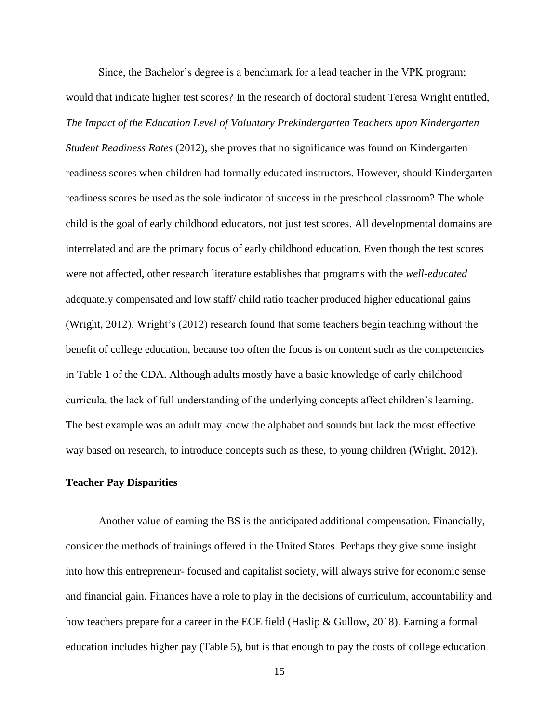Since, the Bachelor's degree is a benchmark for a lead teacher in the VPK program; would that indicate higher test scores? In the research of doctoral student Teresa Wright entitled, *The Impact of the Education Level of Voluntary Prekindergarten Teachers upon Kindergarten Student Readiness Rates* (2012), she proves that no significance was found on Kindergarten readiness scores when children had formally educated instructors. However, should Kindergarten readiness scores be used as the sole indicator of success in the preschool classroom? The whole child is the goal of early childhood educators, not just test scores. All developmental domains are interrelated and are the primary focus of early childhood education. Even though the test scores were not affected, other research literature establishes that programs with the *well-educated* adequately compensated and low staff/ child ratio teacher produced higher educational gains (Wright, 2012). Wright's (2012) research found that some teachers begin teaching without the benefit of college education, because too often the focus is on content such as the competencies in Table 1 of the CDA. Although adults mostly have a basic knowledge of early childhood curricula, the lack of full understanding of the underlying concepts affect children's learning. The best example was an adult may know the alphabet and sounds but lack the most effective way based on research, to introduce concepts such as these, to young children (Wright, 2012).

### **Teacher Pay Disparities**

Another value of earning the BS is the anticipated additional compensation. Financially, consider the methods of trainings offered in the United States. Perhaps they give some insight into how this entrepreneur- focused and capitalist society, will always strive for economic sense and financial gain. Finances have a role to play in the decisions of curriculum, accountability and how teachers prepare for a career in the ECE field (Haslip & Gullow, 2018). Earning a formal education includes higher pay (Table 5), but is that enough to pay the costs of college education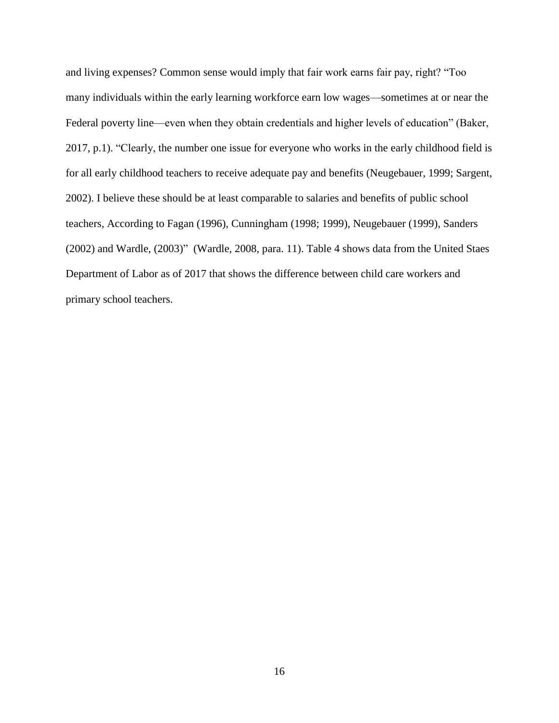and living expenses? Common sense would imply that fair work earns fair pay, right? "Too many individuals within the early learning workforce earn low wages—sometimes at or near the Federal poverty line—even when they obtain credentials and higher levels of education" (Baker, 2017, p.1). "Clearly, the number one issue for everyone who works in the early childhood field is for all early childhood teachers to receive adequate pay and benefits (Neugebauer, 1999; Sargent, 2002). I believe these should be at least comparable to salaries and benefits of public school teachers, According to Fagan (1996), Cunningham (1998; 1999), Neugebauer (1999), Sanders (2002) and Wardle, (2003)" (Wardle, 2008, para. 11). Table 4 shows data from the United Staes Department of Labor as of 2017 that shows the difference between child care workers and primary school teachers.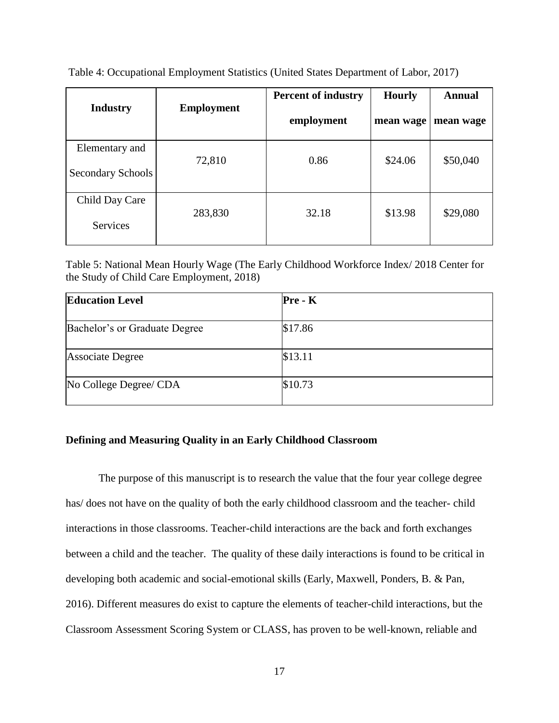| <b>Industry</b>                     | <b>Employment</b> | <b>Percent of industry</b><br>employment | <b>Hourly</b><br>mean wage | <b>Annual</b><br>mean wage |
|-------------------------------------|-------------------|------------------------------------------|----------------------------|----------------------------|
| Elementary and<br>Secondary Schools | 72,810            | 0.86                                     | \$24.06                    | \$50,040                   |
| Child Day Care<br><b>Services</b>   | 283,830           | 32.18                                    | \$13.98                    | \$29,080                   |

<span id="page-25-1"></span>Table 4: Occupational Employment Statistics (United States Department of Labor, 2017)

<span id="page-25-2"></span>Table 5: National Mean Hourly Wage (The Early Childhood Workforce Index/ 2018 Center for the Study of Child Care Employment, 2018)

| <b>Education Level</b>        | $Pre - K$ |
|-------------------------------|-----------|
| Bachelor's or Graduate Degree | \$17.86   |
| <b>Associate Degree</b>       | \$13.11   |
| No College Degree/ CDA        | \$10.73   |

### <span id="page-25-0"></span>**Defining and Measuring Quality in an Early Childhood Classroom**

The purpose of this manuscript is to research the value that the four year college degree has/ does not have on the quality of both the early childhood classroom and the teacher- child interactions in those classrooms. Teacher-child interactions are the back and forth exchanges between a child and the teacher. The quality of these daily interactions is found to be critical in developing both academic and social-emotional skills (Early, Maxwell, Ponders, B. & Pan, 2016). Different measures do exist to capture the elements of teacher-child interactions, but the Classroom Assessment Scoring System or CLASS, has proven to be well-known, reliable and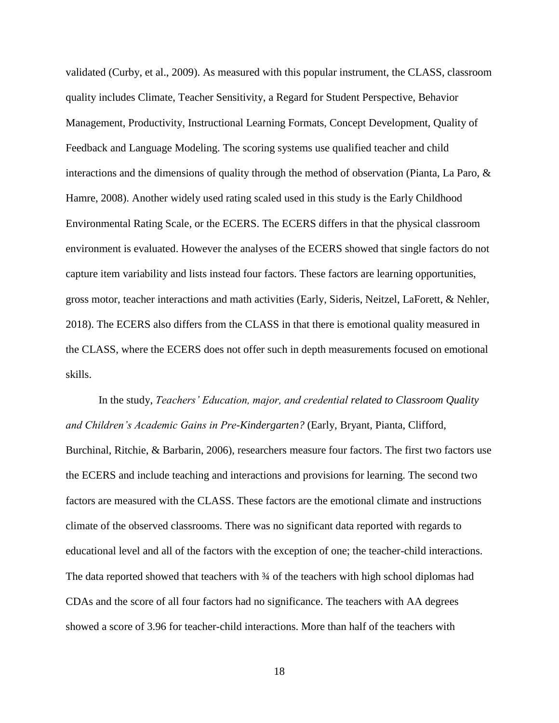validated (Curby, et al., 2009). As measured with this popular instrument, the CLASS, classroom quality includes Climate, Teacher Sensitivity, a Regard for Student Perspective, Behavior Management, Productivity, Instructional Learning Formats, Concept Development, Quality of Feedback and Language Modeling. The scoring systems use qualified teacher and child interactions and the dimensions of quality through the method of observation (Pianta, La Paro, & Hamre, 2008). Another widely used rating scaled used in this study is the Early Childhood Environmental Rating Scale, or the ECERS. The ECERS differs in that the physical classroom environment is evaluated. However the analyses of the ECERS showed that single factors do not capture item variability and lists instead four factors. These factors are learning opportunities, gross motor, teacher interactions and math activities (Early, Sideris, Neitzel, LaForett, & Nehler, 2018). The ECERS also differs from the CLASS in that there is emotional quality measured in the CLASS, where the ECERS does not offer such in depth measurements focused on emotional skills.

In the study, *Teachers' Education, major, and credential related to Classroom Quality and Children's Academic Gains in Pre-Kindergarten?* (Early, Bryant, Pianta, Clifford, Burchinal, Ritchie, & Barbarin, 2006), researchers measure four factors. The first two factors use the ECERS and include teaching and interactions and provisions for learning. The second two factors are measured with the CLASS. These factors are the emotional climate and instructions climate of the observed classrooms. There was no significant data reported with regards to educational level and all of the factors with the exception of one; the teacher-child interactions. The data reported showed that teachers with  $\frac{3}{4}$  of the teachers with high school diplomas had CDAs and the score of all four factors had no significance. The teachers with AA degrees showed a score of 3.96 for teacher-child interactions. More than half of the teachers with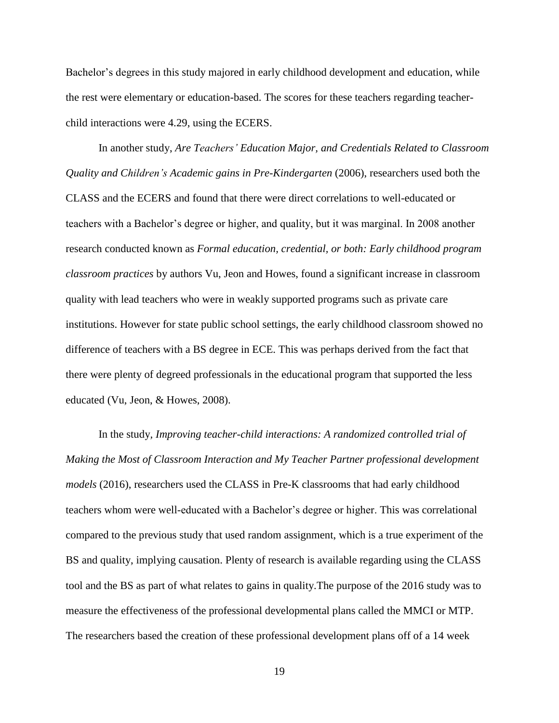Bachelor's degrees in this study majored in early childhood development and education, while the rest were elementary or education-based. The scores for these teachers regarding teacherchild interactions were 4.29, using the ECERS.

In another study, *Are Teachers' Education Major, and Credentials Related to Classroom Quality and Children's Academic gains in Pre-Kindergarten* (2006), researchers used both the CLASS and the ECERS and found that there were direct correlations to well-educated or teachers with a Bachelor's degree or higher, and quality, but it was marginal. In 2008 another research conducted known as *Formal education, credential, or both: Early childhood program classroom practices* by authors Vu, Jeon and Howes, found a significant increase in classroom quality with lead teachers who were in weakly supported programs such as private care institutions. However for state public school settings, the early childhood classroom showed no difference of teachers with a BS degree in ECE. This was perhaps derived from the fact that there were plenty of degreed professionals in the educational program that supported the less educated (Vu, Jeon, & Howes, 2008).

In the study*, Improving teacher-child interactions: A randomized controlled trial of Making the Most of Classroom Interaction and My Teacher Partner professional development models* (2016), researchers used the CLASS in Pre-K classrooms that had early childhood teachers whom were well-educated with a Bachelor's degree or higher. This was correlational compared to the previous study that used random assignment, which is a true experiment of the BS and quality, implying causation. Plenty of research is available regarding using the CLASS tool and the BS as part of what relates to gains in quality.The purpose of the 2016 study was to measure the effectiveness of the professional developmental plans called the MMCI or MTP. The researchers based the creation of these professional development plans off of a 14 week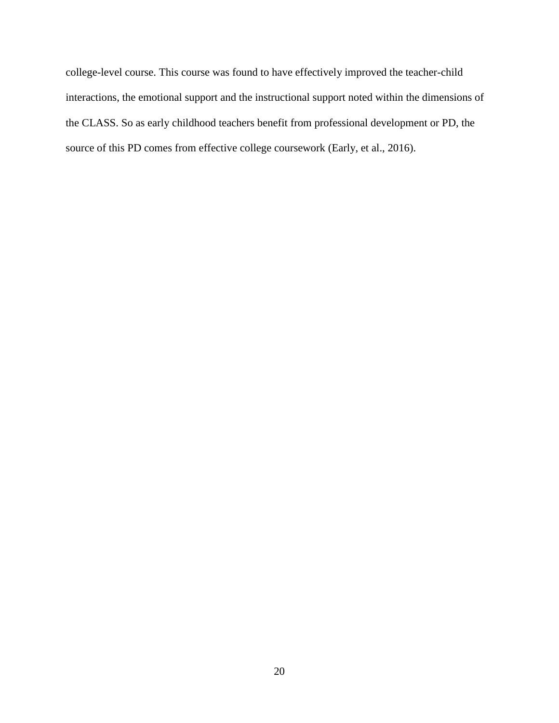<span id="page-28-0"></span>college-level course. This course was found to have effectively improved the teacher-child interactions, the emotional support and the instructional support noted within the dimensions of the CLASS. So as early childhood teachers benefit from professional development or PD, the source of this PD comes from effective college coursework (Early, et al., 2016).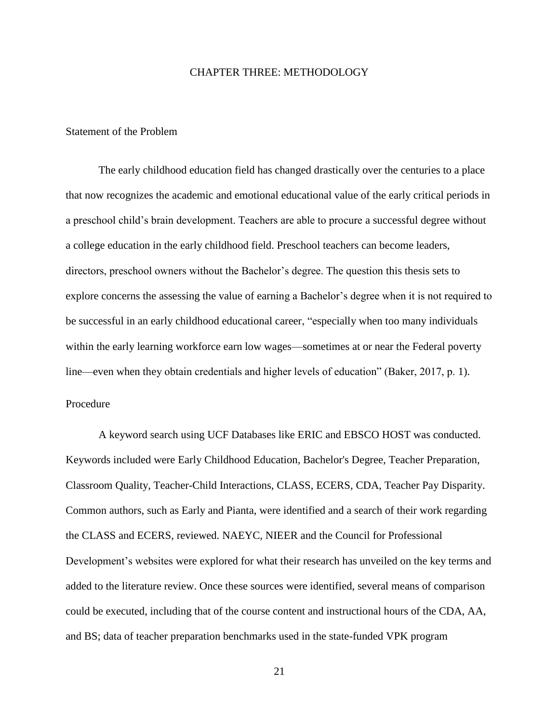### CHAPTER THREE: METHODOLOGY

### <span id="page-29-0"></span>Statement of the Problem

The early childhood education field has changed drastically over the centuries to a place that now recognizes the academic and emotional educational value of the early critical periods in a preschool child's brain development. Teachers are able to procure a successful degree without a college education in the early childhood field. Preschool teachers can become leaders, directors, preschool owners without the Bachelor's degree. The question this thesis sets to explore concerns the assessing the value of earning a Bachelor's degree when it is not required to be successful in an early childhood educational career, "especially when too many individuals within the early learning workforce earn low wages—sometimes at or near the Federal poverty line—even when they obtain credentials and higher levels of education" (Baker, 2017, p. 1). Procedure

<span id="page-29-1"></span>A keyword search using UCF Databases like ERIC and EBSCO HOST was conducted. Keywords included were Early Childhood Education, Bachelor's Degree, Teacher Preparation, Classroom Quality, Teacher-Child Interactions, CLASS, ECERS, CDA, Teacher Pay Disparity. Common authors, such as Early and Pianta, were identified and a search of their work regarding the CLASS and ECERS, reviewed. NAEYC, NIEER and the Council for Professional Development's websites were explored for what their research has unveiled on the key terms and added to the literature review. Once these sources were identified, several means of comparison could be executed, including that of the course content and instructional hours of the CDA, AA, and BS; data of teacher preparation benchmarks used in the state-funded VPK program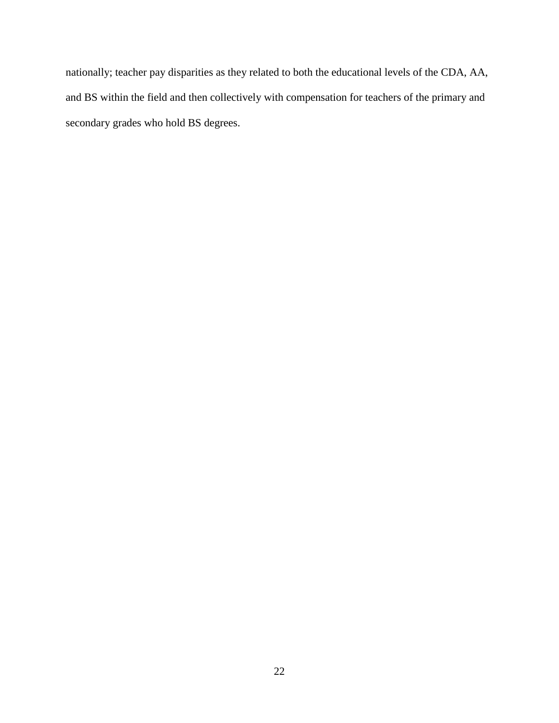nationally; teacher pay disparities as they related to both the educational levels of the CDA, AA, and BS within the field and then collectively with compensation for teachers of the primary and secondary grades who hold BS degrees.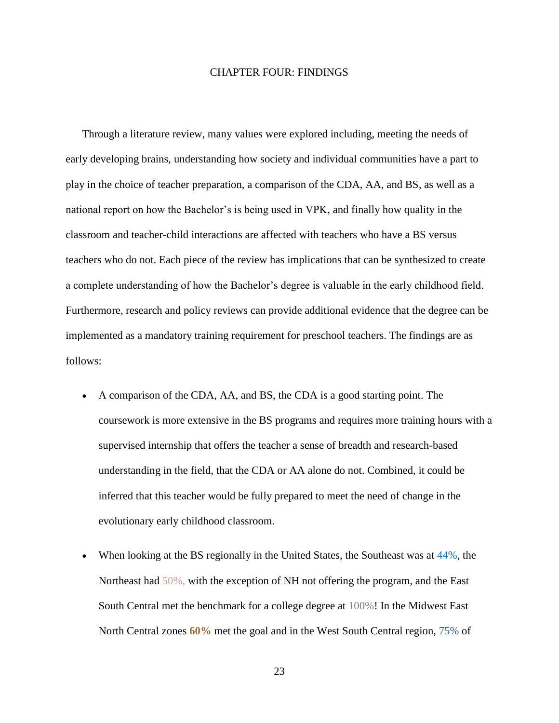### CHAPTER FOUR: FINDINGS

<span id="page-31-0"></span>Through a literature review, many values were explored including, meeting the needs of early developing brains, understanding how society and individual communities have a part to play in the choice of teacher preparation, a comparison of the CDA, AA, and BS, as well as a national report on how the Bachelor's is being used in VPK, and finally how quality in the classroom and teacher-child interactions are affected with teachers who have a BS versus teachers who do not. Each piece of the review has implications that can be synthesized to create a complete understanding of how the Bachelor's degree is valuable in the early childhood field. Furthermore, research and policy reviews can provide additional evidence that the degree can be implemented as a mandatory training requirement for preschool teachers. The findings are as follows:

- A comparison of the CDA, AA, and BS, the CDA is a good starting point. The coursework is more extensive in the BS programs and requires more training hours with a supervised internship that offers the teacher a sense of breadth and research-based understanding in the field, that the CDA or AA alone do not. Combined, it could be inferred that this teacher would be fully prepared to meet the need of change in the evolutionary early childhood classroom.
- When looking at the BS regionally in the United States, the Southeast was at  $44\%$ , the Northeast had 50%, with the exception of NH not offering the program, and the East South Central met the benchmark for a college degree at 100%! In the Midwest East North Central zones **60%** met the goal and in the West South Central region, 75% of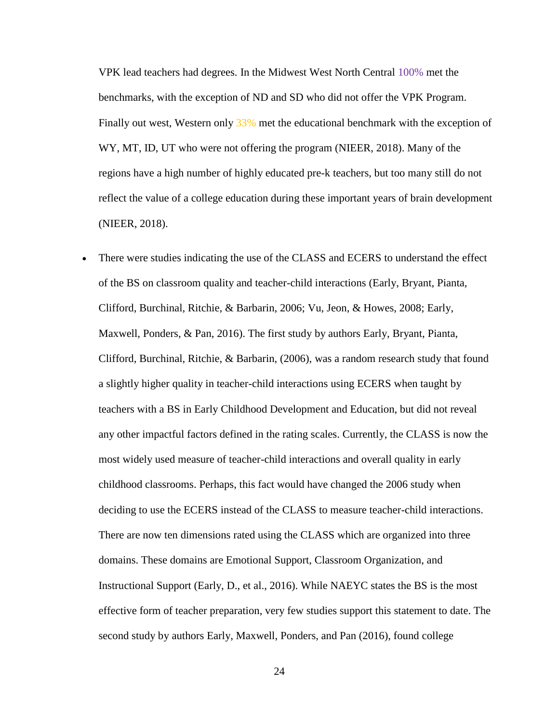VPK lead teachers had degrees. In the Midwest West North Central 100% met the benchmarks, with the exception of ND and SD who did not offer the VPK Program. Finally out west, Western only 33% met the educational benchmark with the exception of WY, MT, ID, UT who were not offering the program (NIEER, 2018). Many of the regions have a high number of highly educated pre-k teachers, but too many still do not reflect the value of a college education during these important years of brain development (NIEER, 2018).

There were studies indicating the use of the CLASS and ECERS to understand the effect of the BS on classroom quality and teacher-child interactions (Early, Bryant, Pianta, Clifford, Burchinal, Ritchie, & Barbarin, 2006; Vu, Jeon, & Howes, 2008; Early, Maxwell, Ponders, & Pan, 2016). The first study by authors Early, Bryant, Pianta, Clifford, Burchinal, Ritchie, & Barbarin, (2006), was a random research study that found a slightly higher quality in teacher-child interactions using ECERS when taught by teachers with a BS in Early Childhood Development and Education, but did not reveal any other impactful factors defined in the rating scales. Currently, the CLASS is now the most widely used measure of teacher-child interactions and overall quality in early childhood classrooms. Perhaps, this fact would have changed the 2006 study when deciding to use the ECERS instead of the CLASS to measure teacher-child interactions. There are now ten dimensions rated using the CLASS which are organized into three domains. These domains are Emotional Support, Classroom Organization, and Instructional Support (Early, D., et al., 2016). While NAEYC states the BS is the most effective form of teacher preparation, very few studies support this statement to date. The second study by authors Early, Maxwell, Ponders, and Pan (2016), found college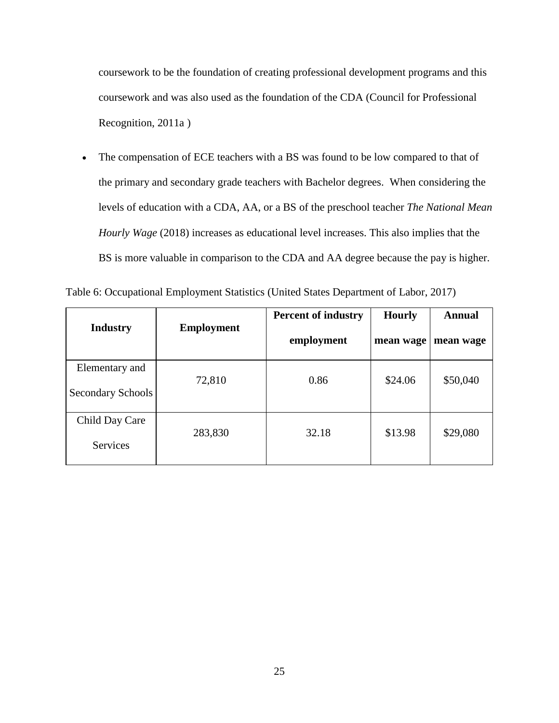coursework to be the foundation of creating professional development programs and this coursework and was also used as the foundation of the CDA (Council for Professional Recognition, 2011a )

• The compensation of ECE teachers with a BS was found to be low compared to that of the primary and secondary grade teachers with Bachelor degrees. When considering the levels of education with a CDA, AA, or a BS of the preschool teacher *The National Mean Hourly Wage* (2018) increases as educational level increases. This also implies that the BS is more valuable in comparison to the CDA and AA degree because the pay is higher.

| <b>Industry</b>                     | <b>Employment</b> | <b>Percent of industry</b><br>employment | <b>Hourly</b><br>mean wage | <b>Annual</b><br>mean wage |
|-------------------------------------|-------------------|------------------------------------------|----------------------------|----------------------------|
| Elementary and<br>Secondary Schools | 72,810            | 0.86                                     | \$24.06                    | \$50,040                   |
| Child Day Care<br>Services          | 283,830           | 32.18                                    | \$13.98                    | \$29,080                   |

Table 6: Occupational Employment Statistics (United States Department of Labor, 2017)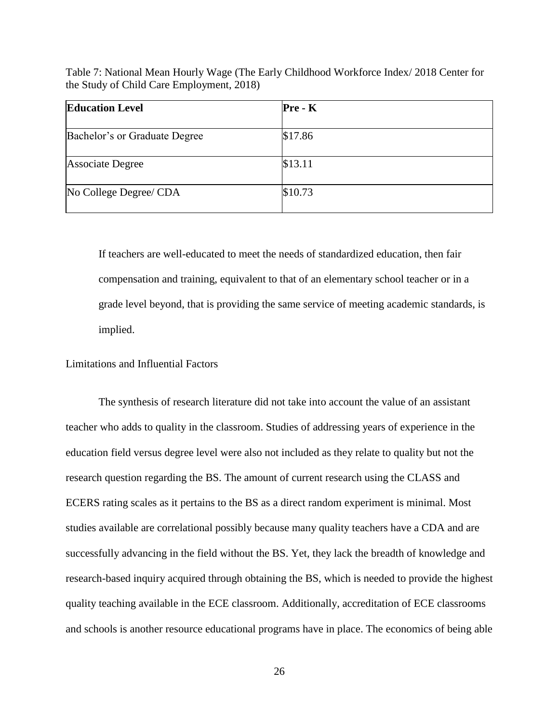Table 7: National Mean Hourly Wage (The Early Childhood Workforce Index/ 2018 Center for the Study of Child Care Employment, 2018)

| <b>Education Level</b>        | $Pre - K$ |
|-------------------------------|-----------|
| Bachelor's or Graduate Degree | \$17.86   |
| <b>Associate Degree</b>       | \$13.11   |
| No College Degree/ CDA        | \$10.73   |

If teachers are well-educated to meet the needs of standardized education, then fair compensation and training, equivalent to that of an elementary school teacher or in a grade level beyond, that is providing the same service of meeting academic standards, is implied.

### <span id="page-34-0"></span>Limitations and Influential Factors

The synthesis of research literature did not take into account the value of an assistant teacher who adds to quality in the classroom. Studies of addressing years of experience in the education field versus degree level were also not included as they relate to quality but not the research question regarding the BS. The amount of current research using the CLASS and ECERS rating scales as it pertains to the BS as a direct random experiment is minimal. Most studies available are correlational possibly because many quality teachers have a CDA and are successfully advancing in the field without the BS. Yet, they lack the breadth of knowledge and research-based inquiry acquired through obtaining the BS, which is needed to provide the highest quality teaching available in the ECE classroom. Additionally, accreditation of ECE classrooms and schools is another resource educational programs have in place. The economics of being able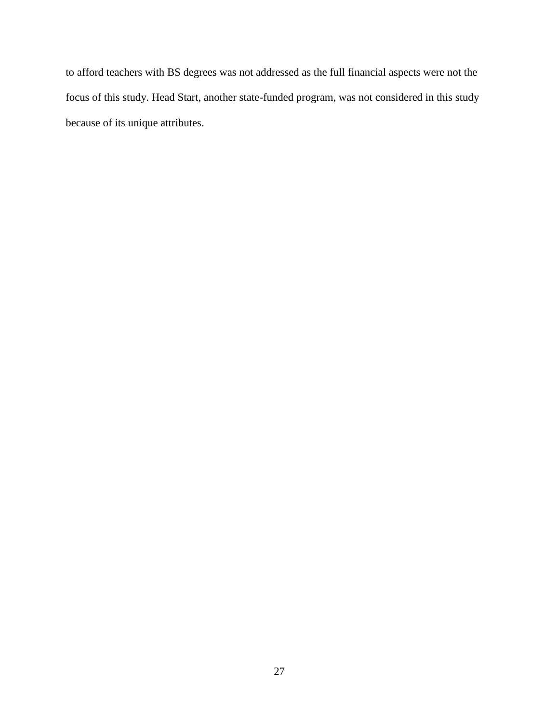to afford teachers with BS degrees was not addressed as the full financial aspects were not the focus of this study. Head Start, another state-funded program, was not considered in this study because of its unique attributes.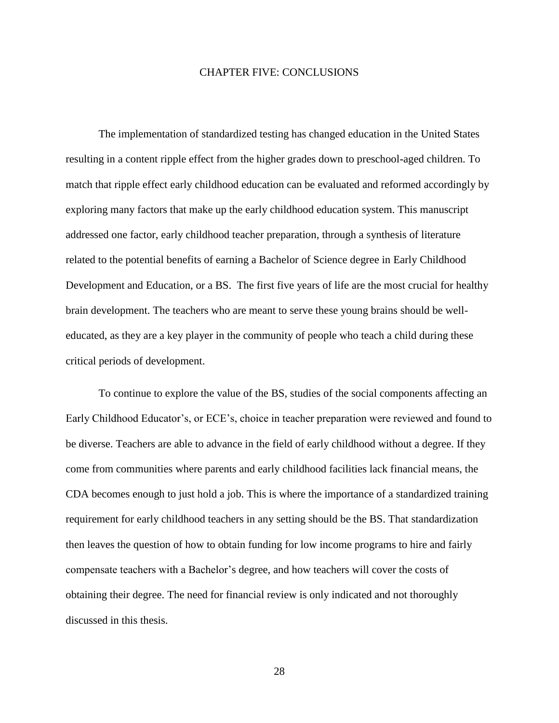### CHAPTER FIVE: CONCLUSIONS

<span id="page-36-0"></span>The implementation of standardized testing has changed education in the United States resulting in a content ripple effect from the higher grades down to preschool**-**aged children. To match that ripple effect early childhood education can be evaluated and reformed accordingly by exploring many factors that make up the early childhood education system. This manuscript addressed one factor, early childhood teacher preparation, through a synthesis of literature related to the potential benefits of earning a Bachelor of Science degree in Early Childhood Development and Education, or a BS. The first five years of life are the most crucial for healthy brain development. The teachers who are meant to serve these young brains should be welleducated, as they are a key player in the community of people who teach a child during these critical periods of development.

To continue to explore the value of the BS, studies of the social components affecting an Early Childhood Educator's, or ECE's, choice in teacher preparation were reviewed and found to be diverse. Teachers are able to advance in the field of early childhood without a degree. If they come from communities where parents and early childhood facilities lack financial means, the CDA becomes enough to just hold a job. This is where the importance of a standardized training requirement for early childhood teachers in any setting should be the BS. That standardization then leaves the question of how to obtain funding for low income programs to hire and fairly compensate teachers with a Bachelor's degree, and how teachers will cover the costs of obtaining their degree. The need for financial review is only indicated and not thoroughly discussed in this thesis.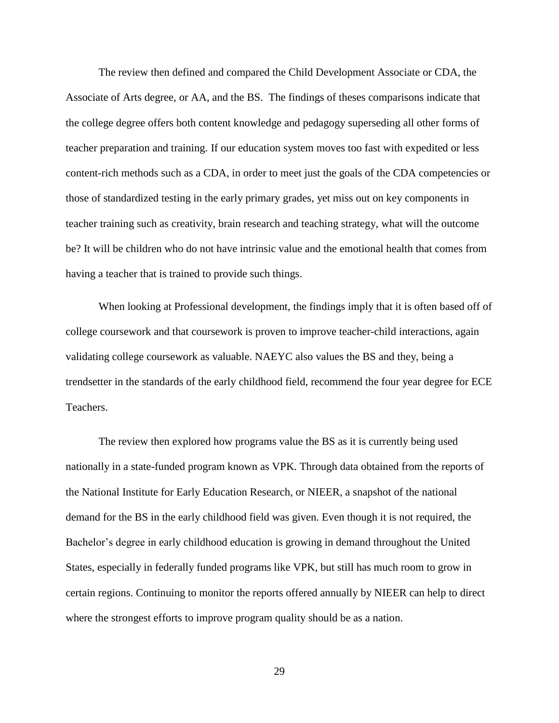The review then defined and compared the Child Development Associate or CDA, the Associate of Arts degree, or AA, and the BS. The findings of theses comparisons indicate that the college degree offers both content knowledge and pedagogy superseding all other forms of teacher preparation and training. If our education system moves too fast with expedited or less content-rich methods such as a CDA, in order to meet just the goals of the CDA competencies or those of standardized testing in the early primary grades, yet miss out on key components in teacher training such as creativity, brain research and teaching strategy, what will the outcome be? It will be children who do not have intrinsic value and the emotional health that comes from having a teacher that is trained to provide such things.

When looking at Professional development, the findings imply that it is often based off of college coursework and that coursework is proven to improve teacher-child interactions, again validating college coursework as valuable. NAEYC also values the BS and they, being a trendsetter in the standards of the early childhood field, recommend the four year degree for ECE Teachers.

The review then explored how programs value the BS as it is currently being used nationally in a state-funded program known as VPK. Through data obtained from the reports of the National Institute for Early Education Research, or NIEER, a snapshot of the national demand for the BS in the early childhood field was given. Even though it is not required, the Bachelor's degree in early childhood education is growing in demand throughout the United States, especially in federally funded programs like VPK, but still has much room to grow in certain regions. Continuing to monitor the reports offered annually by NIEER can help to direct where the strongest efforts to improve program quality should be as a nation.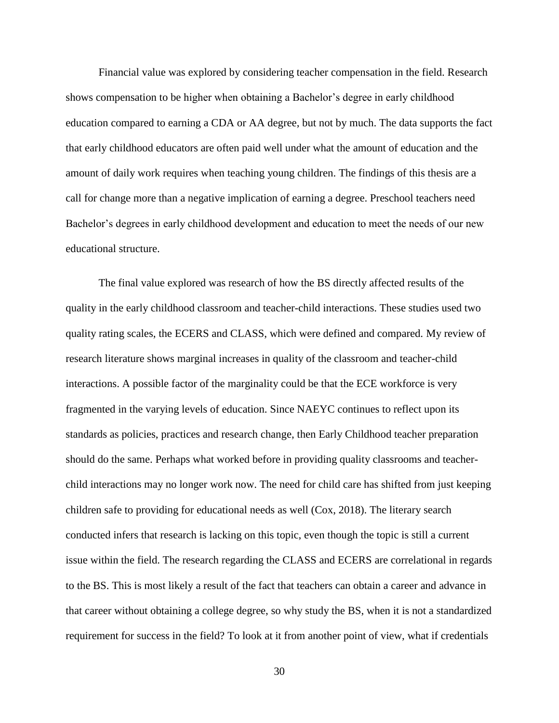Financial value was explored by considering teacher compensation in the field. Research shows compensation to be higher when obtaining a Bachelor's degree in early childhood education compared to earning a CDA or AA degree, but not by much. The data supports the fact that early childhood educators are often paid well under what the amount of education and the amount of daily work requires when teaching young children. The findings of this thesis are a call for change more than a negative implication of earning a degree. Preschool teachers need Bachelor's degrees in early childhood development and education to meet the needs of our new educational structure.

The final value explored was research of how the BS directly affected results of the quality in the early childhood classroom and teacher-child interactions. These studies used two quality rating scales, the ECERS and CLASS, which were defined and compared. My review of research literature shows marginal increases in quality of the classroom and teacher-child interactions. A possible factor of the marginality could be that the ECE workforce is very fragmented in the varying levels of education. Since NAEYC continues to reflect upon its standards as policies, practices and research change, then Early Childhood teacher preparation should do the same. Perhaps what worked before in providing quality classrooms and teacherchild interactions may no longer work now. The need for child care has shifted from just keeping children safe to providing for educational needs as well (Cox, 2018). The literary search conducted infers that research is lacking on this topic, even though the topic is still a current issue within the field. The research regarding the CLASS and ECERS are correlational in regards to the BS. This is most likely a result of the fact that teachers can obtain a career and advance in that career without obtaining a college degree, so why study the BS, when it is not a standardized requirement for success in the field? To look at it from another point of view, what if credentials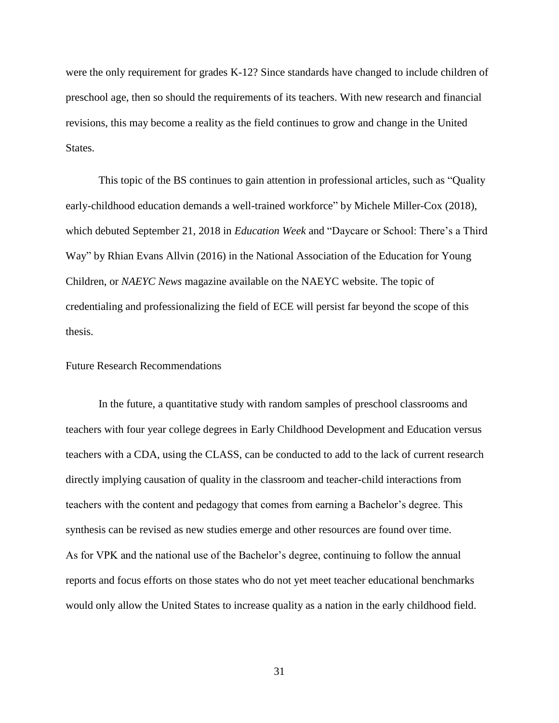were the only requirement for grades K-12? Since standards have changed to include children of preschool age, then so should the requirements of its teachers. With new research and financial revisions, this may become a reality as the field continues to grow and change in the United States.

This topic of the BS continues to gain attention in professional articles, such as "Quality early-childhood education demands a well-trained workforce" by Michele Miller-Cox (2018), which debuted September 21, 2018 in *Education Week* and "Daycare or School: There's a Third Way" by Rhian Evans Allvin (2016) in the National Association of the Education for Young Children, or *NAEYC News* magazine available on the NAEYC website. The topic of credentialing and professionalizing the field of ECE will persist far beyond the scope of this thesis.

### <span id="page-39-1"></span><span id="page-39-0"></span>Future Research Recommendations

In the future, a quantitative study with random samples of preschool classrooms and teachers with four year college degrees in Early Childhood Development and Education versus teachers with a CDA, using the CLASS, can be conducted to add to the lack of current research directly implying causation of quality in the classroom and teacher-child interactions from teachers with the content and pedagogy that comes from earning a Bachelor's degree. This synthesis can be revised as new studies emerge and other resources are found over time. As for VPK and the national use of the Bachelor's degree, continuing to follow the annual reports and focus efforts on those states who do not yet meet teacher educational benchmarks would only allow the United States to increase quality as a nation in the early childhood field.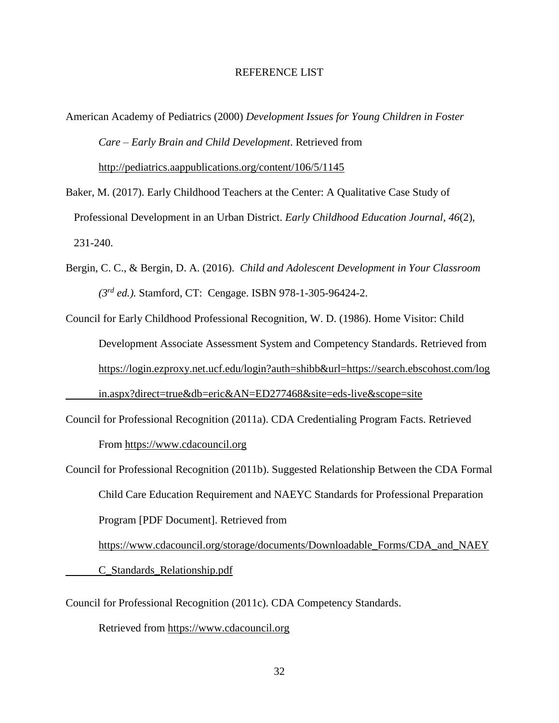### REFERENCE LIST

- <span id="page-40-0"></span>American Academy of Pediatrics (2000) *Development Issues for Young Children in Foster Care – Early Brain and Child Development*. Retrieved from <http://pediatrics.aappublications.org/content/106/5/1145>
- Baker, M. (2017). Early Childhood Teachers at the Center: A Qualitative Case Study of Professional Development in an Urban District. *Early Childhood Education Journal*, *46*(2), 231-240.
- Bergin, C. C., & Bergin, D. A. (2016). *Child and Adolescent Development in Your Classroom (3rd ed.).* Stamford, CT: Cengage. ISBN 978-1-305-96424-2.
- Council for Early Childhood Professional Recognition, W. D. (1986). Home Visitor: Child Development Associate Assessment System and Competency Standards. Retrieved from <https://login.ezproxy.net.ucf.edu/login?auth=shibb&url=https://search.ebscohost.com/log> [in.aspx?direct=true&db=eric&AN=ED277468&site=eds-live&scope=site](https://login.ezproxy.net.ucf.edu/login?auth=shibb&url=https://search.ebscohost.com/log)
- Council for Professional Recognition (2011a). CDA Credentialing Program Facts. Retrieved From [https://www.cdacouncil.org](https://www.cdacouncil.org/)
- Council for Professional Recognition (2011b). Suggested Relationship Between the CDA Formal Child Care Education Requirement and NAEYC Standards for Professional Preparation Program [PDF Document]. Retrieved from

[https://www.cdacouncil.org/storage/documents/Downloadable\\_Forms/CDA\\_and\\_NAEY](https://www.cdacouncil.org/storage/documents/Downloadable_Forms/CDA_and_NAEY)

C\_Standards\_Relationship.pdf

Council for Professional Recognition (2011c). CDA Competency Standards.

Retrieved from [https://www.cdacouncil.org](https://www.cdacouncil.org/)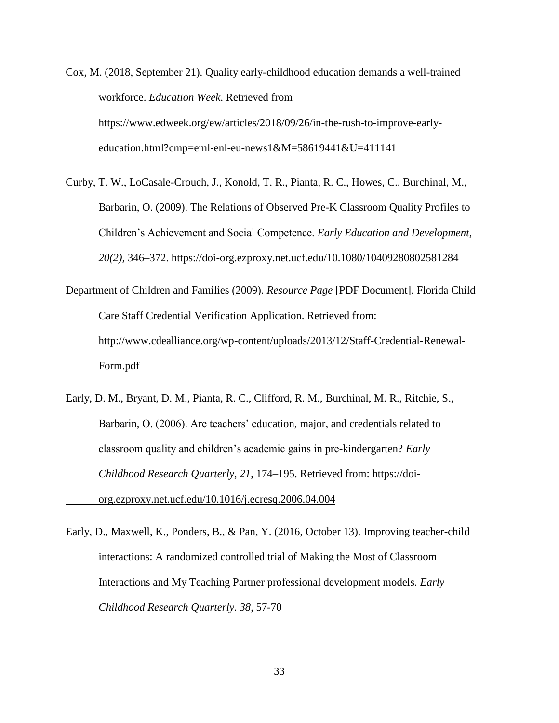- Cox, M. (2018, September 21). Quality early-childhood education demands a well-trained workforce. *Education Week*. Retrieved from [https://www.edweek.org/ew/articles/2018/09/26/in-the-rush-to-improve-early](https://www.edweek.org/ew/articles/2018/09/26/in-the-rush-to-improve-early-)[education.html?cmp=eml-enl-eu-news1&M=58619441&U=411141](https://www.edweek.org/ew/articles/2018/09/26/in-the-rush-to-improve-early-)
- Curby, T. W., LoCasale-Crouch, J., Konold, T. R., Pianta, R. C., Howes, C., Burchinal, M., Barbarin, O. (2009). The Relations of Observed Pre-K Classroom Quality Profiles to Children's Achievement and Social Competence. *Early Education and Development*, *20(2),* 346–372. https://doi-org.ezproxy.net.ucf.edu/10.1080/10409280802581284

```
Department of Children and Families (2009). Resource Page [PDF Document]. Florida Child 
Care Staff Credential Verification Application. Retrieved from: 
http://www.cdealliance.org/wp-content/uploads/2013/12/Staff-Credential-Renewal-
Form.pdf
```
- Early, D. M., Bryant, D. M., Pianta, R. C., Clifford, R. M., Burchinal, M. R., Ritchie, S., Barbarin, O. (2006). Are teachers' education, major, and credentials related to classroom quality and children's academic gains in pre-kindergarten? *Early Childhood Research Quarterly*, *21*, 174–195. Retrieved from: [https://doi](https://doi-/)[org.ezproxy.net.ucf.edu/10.1016/j.ecresq.2006.04.004](https://doi-/)
- Early, D., Maxwell, K., Ponders, B., & Pan, Y. (2016, October 13). Improving teacher-child interactions: A randomized controlled trial of Making the Most of Classroom Interactions and My Teaching Partner professional development models*. Early Childhood Research Quarterly. 38*, 57-70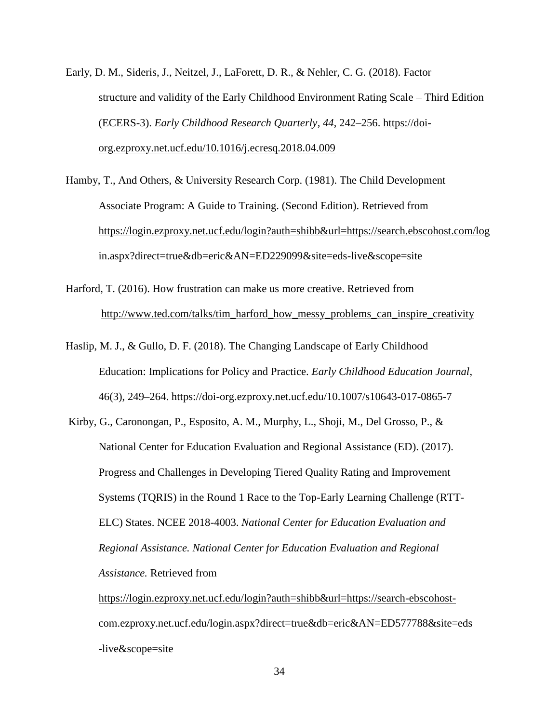- Early, D. M., Sideris, J., Neitzel, J., LaForett, D. R., & Nehler, C. G. (2018). Factor structure and validity of the Early Childhood Environment Rating Scale – Third Edition (ECERS-3). *Early Childhood Research Quarterly*, *44*, 242–256. [https://doi](https://doi-/)[org.ezproxy.net.ucf.edu/10.1016/j.ecresq.2018.04.009](https://doi-/)
- Hamby, T., And Others, & University Research Corp. (1981). The Child Development Associate Program: A Guide to Training. (Second Edition). Retrieved from <https://login.ezproxy.net.ucf.edu/login?auth=shibb&url=https://search.ebscohost.com/log> [in.aspx?direct=true&db=eric&AN=ED229099&site=eds-live&scope=site](https://login.ezproxy.net.ucf.edu/login?auth=shibb&url=https://search.ebscohost.com/log)
- Harford, T. (2016). How frustration can make us more creative. Retrieved from [http://www.ted.com/talks/tim\\_harford\\_how\\_messy\\_problems\\_can\\_inspire\\_creativity](http://www.ted.com/talks/tim_harford_how_messy_problems_can_inspire_creativity)
- Haslip, M. J., & Gullo, D. F. (2018). The Changing Landscape of Early Childhood Education: Implications for Policy and Practice. *Early Childhood Education Journal*, 46(3), 249–264. https://doi-org.ezproxy.net.ucf.edu/10.1007/s10643-017-0865-7
- Kirby, G., Caronongan, P., Esposito, A. M., Murphy, L., Shoji, M., Del Grosso, P., & National Center for Education Evaluation and Regional Assistance (ED). (2017). Progress and Challenges in Developing Tiered Quality Rating and Improvement Systems (TQRIS) in the Round 1 Race to the Top-Early Learning Challenge (RTT-ELC) States. NCEE 2018-4003. *National Center for Education Evaluation and Regional Assistance. National Center for Education Evaluation and Regional Assistance.* Retrieved from

[https://login.ezproxy.net.ucf.edu/login?auth=shibb&url=https://search-ebscohost](https://login.ezproxy.net.ucf.edu/login?auth=shibb&url=https://search-ebscohost-)com.ezproxy.net.ucf.edu/login.aspx?direct=true&db=eric&AN=ED577788&site=eds -live&scope=site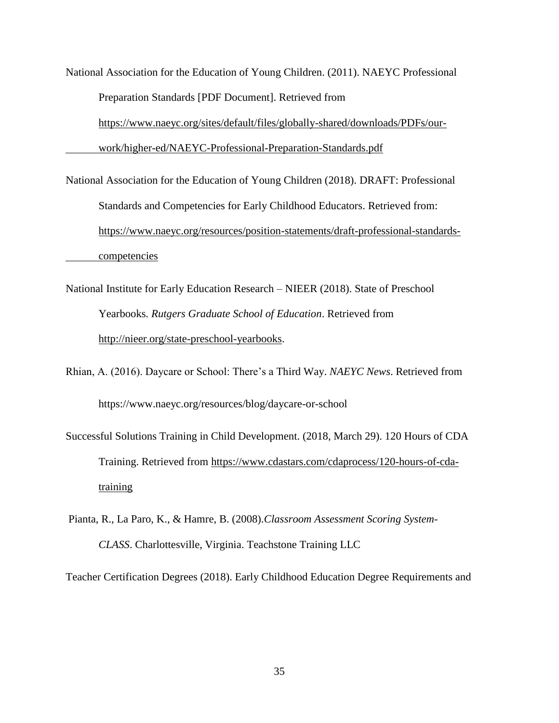National Association for the Education of Young Children. (2011). NAEYC Professional Preparation Standards [PDF Document]. Retrieved from [https://www.naeyc.org/sites/default/files/globally-shared/downloads/PDFs/our](https://www.naeyc.org/sites/default/files/globally-shared/downloads/PDFs/our-)[work/higher-ed/NAEYC-Professional-Preparation-Standards.pdf](https://www.naeyc.org/sites/default/files/globally-shared/downloads/PDFs/our-)

National Association for the Education of Young Children (2018). DRAFT: Professional Standards and Competencies for Early Childhood Educators. Retrieved from: [https://www.naeyc.org/resources/position-statements/draft-professional-standards](https://www.naeyc.org/resources/position-statements/draft-professional-standards-)[competencies](https://www.naeyc.org/resources/position-statements/draft-professional-standards-)

National Institute for Early Education Research – NIEER (2018). State of Preschool Yearbooks*. Rutgers Graduate School of Education*. Retrieved from [http://nieer.org/state-preschool-yearbooks.](http://nieer.org/state-preschool-yearbooks)

Rhian, A. (2016). Daycare or School: There's a Third Way. *NAEYC News*. Retrieved from https://www.naeyc.org/resources/blog/daycare-or-school

Successful Solutions Training in Child Development. (2018, March 29). 120 Hours of CDA Training. Retrieved from [https://www.cdastars.com/cdaprocess/120-hours-of-cda](https://www.cdastars.com/cdaprocess/120-hours-of-cda-%09training)[training](https://www.cdastars.com/cdaprocess/120-hours-of-cda-%09training)

Pianta, R., La Paro, K., & Hamre, B. (2008).*Classroom Assessment Scoring System-CLASS*. Charlottesville, Virginia. Teachstone Training LLC

Teacher Certification Degrees (2018). Early Childhood Education Degree Requirements and